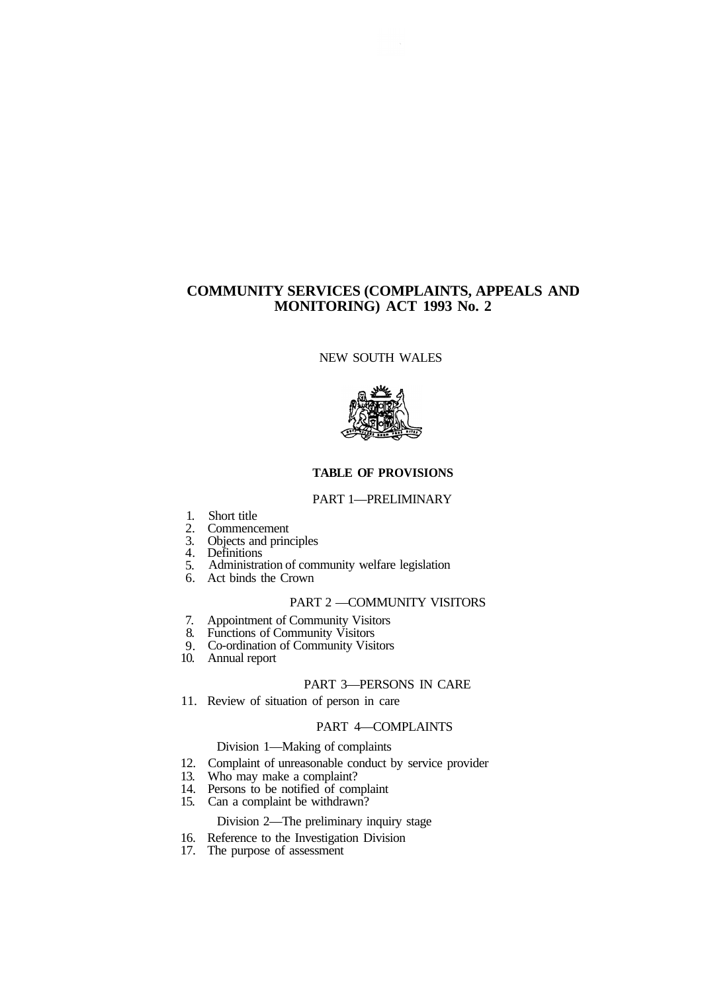# **COMMUNITY SERVICES (COMPLAINTS, APPEALS AND MONITORING) ACT 1993 No. 2**

NEW SOUTH WALES



### **TABLE OF PROVISIONS**

#### PART 1—PRELIMINARY

- 1. Short title
- 2. Commencement
- 3. Objects and principles
- 4. Definitions
- 5. Administration of community welfare legislation
- 6. Act binds the Crown

# PART 2 —COMMUNITY VISITORS

- 7. Appointment of Community Visitors
- 8. Functions of Community Visitors
- 9. Co-ordination of Community Visitors
- 10. Annual report

## PART 3—PERSONS IN CARE

11. Review of situation of person in care

#### PART 4—COMPLAINTS

#### Division 1—Making of complaints

- 12. Complaint of unreasonable conduct by service provider
- 13. Who may make a complaint?
- 14. Persons to be notified of complaint
- 15. Can a complaint be withdrawn?

### Division 2—The preliminary inquiry stage

#### 16. Reference to the Investigation Division

17. The purpose of assessment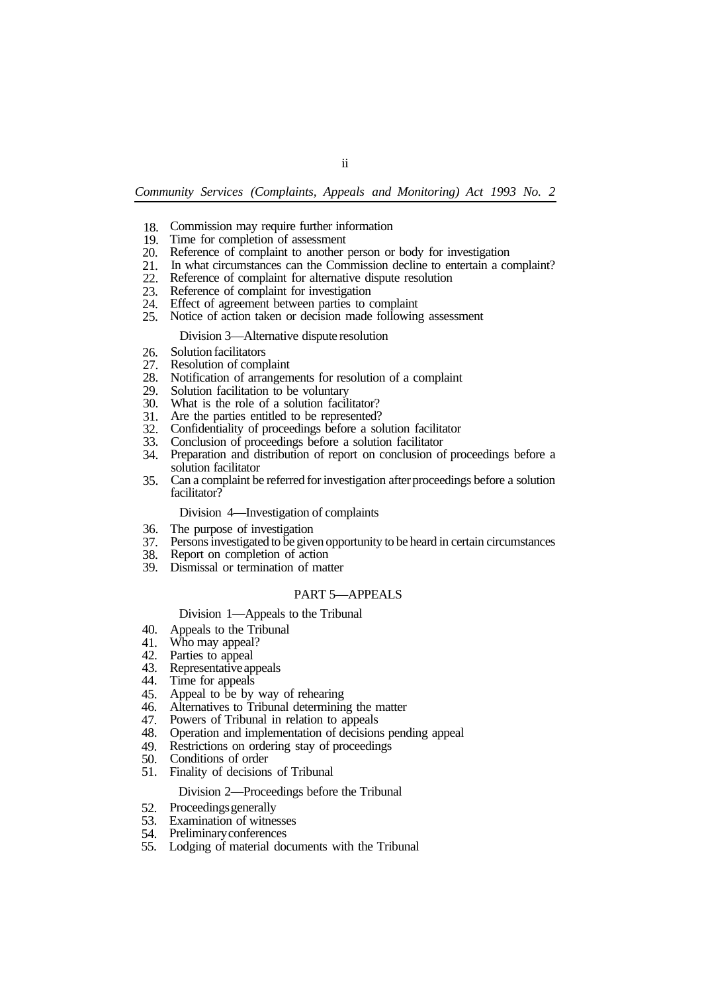- 18. Commission may require further information
- 19. Time for completion of assessment
- 20. Reference of complaint to another person or body for investigation
- 21. In what circumstances can the Commission decline to entertain a complaint?
- 22. Reference of complaint for alternative dispute resolution
- $\frac{2}{23}$ . Reference of complaint for investigation
- 24. Effect of agreement between parties to complaint
- 25. Notice of action taken or decision made following assessment

#### Division 3—Alternative dispute resolution

- 26. Solution facilitators
- 27. Resolution of complaint
- 28. Notification of arrangements for resolution of a complaint
- 29. Solution facilitation to be voluntary
- 30. What is the role of a solution facilitator?
- 31. Are the parties entitled to be represented?
- 32. Confidentiality of proceedings before a solution facilitator
- 33. Conclusion of proceedings before a solution facilitator
- 34. Preparation and distribution of report on conclusion of proceedings before a solution facilitator
- 35. Can a complaint be referred for investigation after proceedings before a solution facilitator?

#### Division 4—Investigation of complaints

- 36. The purpose of investigation
- 37. Persons investigated to be given opportunity to be heard in certain circumstances
- 38. Report on completion of action
- 39. Dismissal or termination of matter

### PART 5—APPEALS

### Division 1—Appeals to the Tribunal

- 40. Appeals to the Tribunal
- 41. Who may appeal?
- 42. Parties to appeal
- 43. Representative appeals
- 44. Time for appeals
- 45. Appeal to be by way of rehearing
- 46. Alternatives to Tribunal determining the matter
- 47. Powers of Tribunal in relation to appeals
- 48. Operation and implementation of decisions pending appeal
- 49. Restrictions on ordering stay of proceedings
- 50. Conditions of order
- 51. Finality of decisions of Tribunal

#### Division 2—Proceedings before the Tribunal

- 52. Proceedings generally
- 53. Examination of witnesses
- 54. Preliminary conferences
- 55. Lodging of material documents with the Tribunal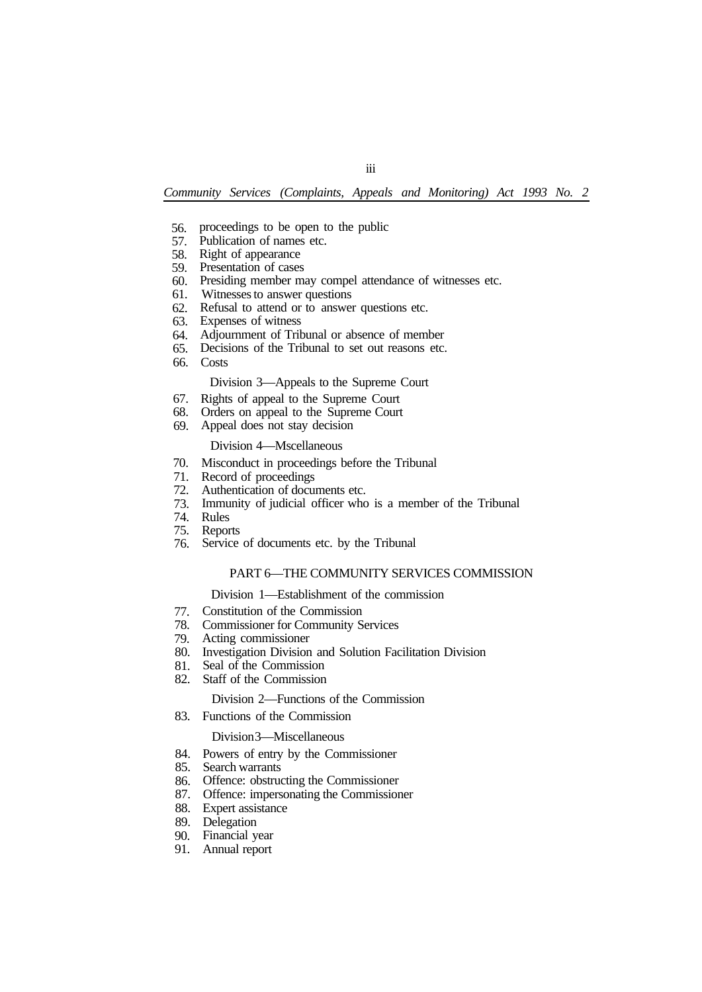iii

- 56. proceedings to be open to the public
- 57. Publication of names etc.
- 58. Right of appearance
- 59. Presentation of cases
- 60. Presiding member may compel attendance of witnesses etc.
- 61. Witnesses to answer questions
- 62. Refusal to attend or to answer questions etc.
- 63. Expenses of witness
- 64. Adjournment of Tribunal or absence of member
- 65. Decisions of the Tribunal to set out reasons etc.
- 66. Costs

## Division 3—Appeals to the Supreme Court

- 67. Rights of appeal to the Supreme Court
- 68. Orders on appeal to the Supreme Court
- 69. Appeal does not stay decision

#### Division 4—Mscellaneous

- 70. Misconduct in proceedings before the Tribunal
- 71. Record of proceedings
- 72. Authentication of documents etc.
- 73. Immunity of judicial officer who is a member of the Tribunal
- 74. Rules
- 75. Reports
- 76. Service of documents etc. by the Tribunal

#### PART 6—THE COMMUNITY SERVICES COMMISSION

#### Division 1—Establishment of the commission

- 77. Constitution of the Commission
- 78. Commissioner for Community Services
- 79. Acting commissioner
- 80. Investigation Division and Solution Facilitation Division
- 81. Seal of the Commission
- 82. Staff of the Commission

#### Division 2—Functions of the Commission

83. Functions of the Commission

#### Division 3—Miscellaneous

- 84. Powers of entry by the Commissioner
- 85. Search warrants
- 86. Offence: obstructing the Commissioner
- 87. Offence: impersonating the Commissioner
- 88. Expert assistance
- 89. Delegation
- 90. Financial year
- 91. Annual report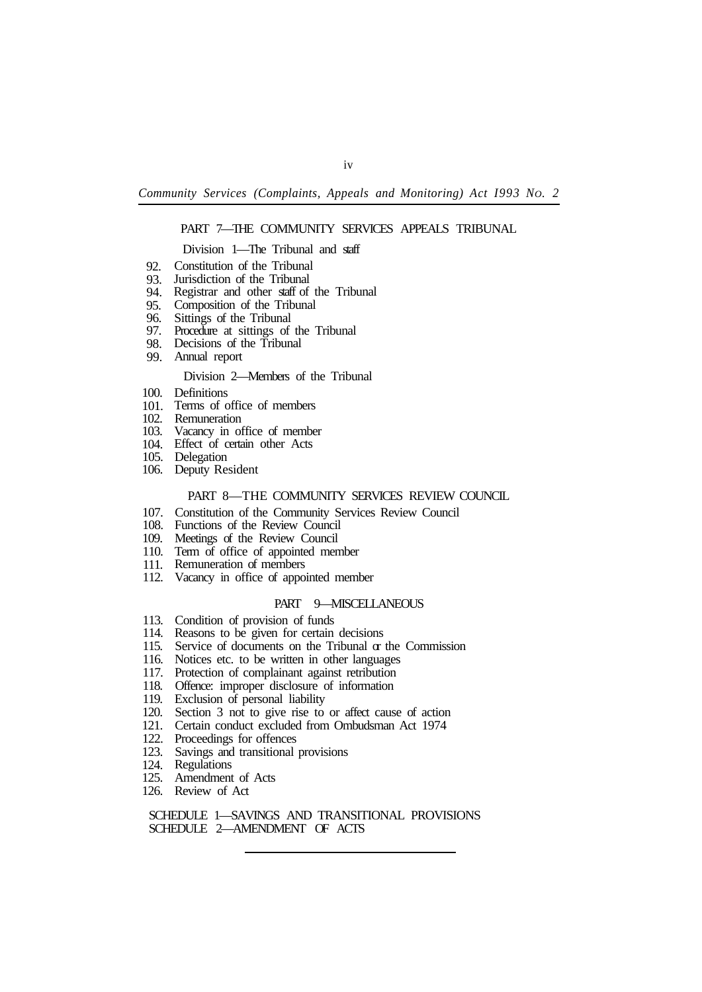### PART 7—THE COMMUNITY SERVICES APPEALS TRIBUNAL

#### Division 1—The Tribunal and staff

- 92. Constitution of the Tribunal
- 93. Jurisdiction of the Tribunal
- 94. Registrar and other staff of the Tribunal
- 95. Composition of the Tribunal
- 96. Sittings of the Tribunal
- 97. Procedure at sittings of the Tribunal
- 98. Decisions of the Tribunal
- 99. Annual report

#### Division 2—Members of the Tribunal

- 100. Definitions
- 101. Terms of office of members
- 102. Remuneration
- 103. Vacancy in office of member
- 104. Effect of certain other Acts
- 105. Delegation
- 106. Deputy Resident

#### PART 8—THE COMMUNITY SERVICES REVIEW COUNCIL

- 107. Constitution of the Community Services Review Council
- 108. Functions of the Review Council
- 109. Meetings of the Review Council
- 110. Term of office of appointed member
- 111. Remuneration of members
- 112. Vacancy in office of appointed member

# PART 9—MISCELLANEOUS

- 113. Condition of provision of funds
- 114. Reasons to be given for certain decisions
- 115. Service of documents on the Tribunal  $\alpha$  the Commission
- 116. Notices etc. to be written in other languages
- 117. Protection of complainant against retribution
- 118. Offence: improper disclosure of information
- 119. Exclusion of personal liability
- 120. Section 3 not to give rise to or affect cause of action
- 121. Certain conduct excluded from Ombudsman Act 1974
- 122. Proceedings for offences
- 123. Savings and transitional provisions
- 124. Regulations
- 125. Amendment of Acts
- 126. Review of Act

SCHEDULE 1—SAVINGS AND TRANSITIONAL PROVISIONS SCHEDULE 2—AMENDMENT OF ACTS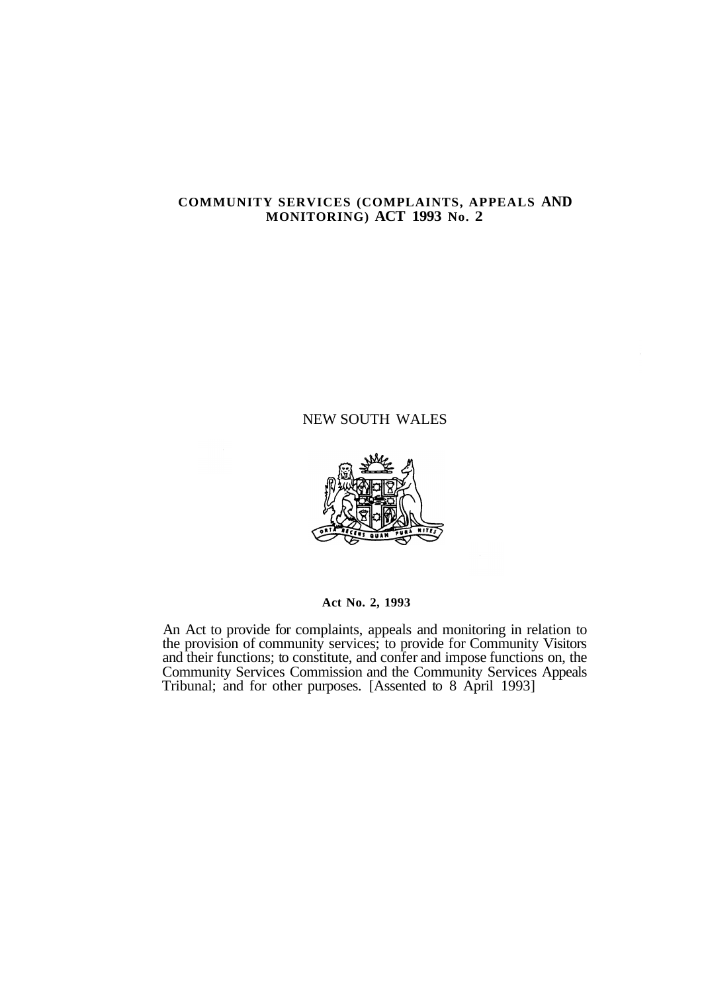# **COMMUNITY SERVICES (COMPLAINTS, APPEALS AND MONITORING) ACT 1993 No. 2**

# NEW SOUTH WALES



**Act No. 2, 1993** 

An Act to provide for complaints, appeals and monitoring in relation to the provision of community services; to provide for Community Visitors and their functions; to constitute, and confer and impose functions on, the Community Services Commission and the Community Services Appeals Tribunal; and for other purposes. [Assented to 8 April 1993]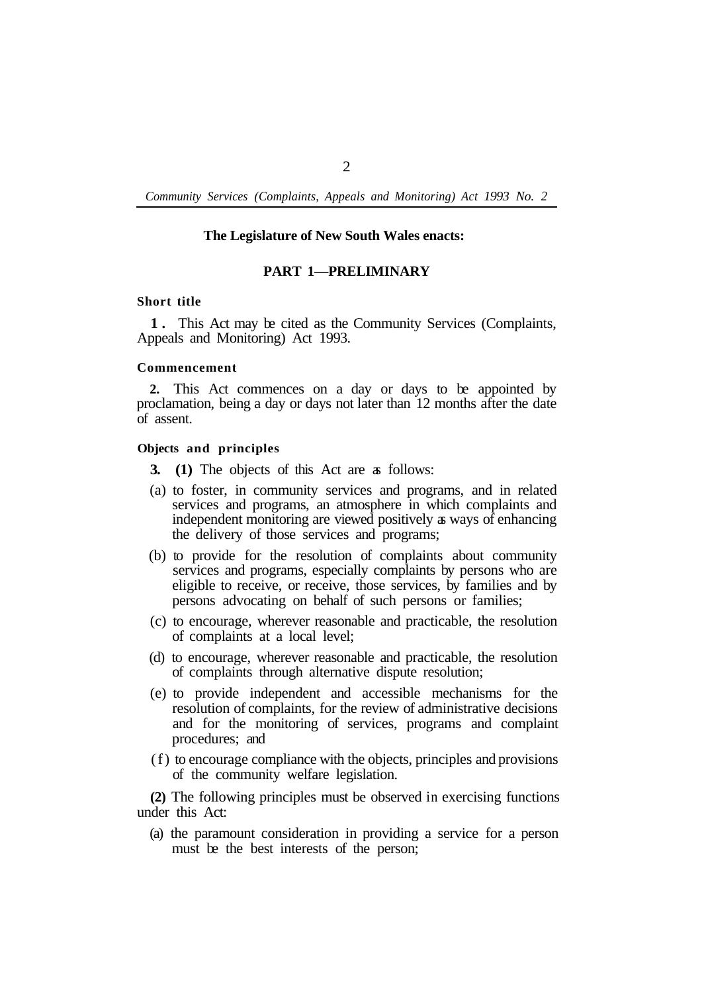#### **The Legislature of New South Wales enacts:**

#### **PART 1—PRELIMINARY**

#### **Short title**

**1 .** This Act may be cited as the Community Services (Complaints, Appeals and Monitoring) Act 1993.

## **Commencement**

**2.** This Act commences on a day or days to be appointed by proclamation, being a day or days not later than 12 months after the date of assent.

#### **Objects and principles**

- **3. (1)** The objects of this Act are as follows:
- (a) to foster, in community services and programs, and in related services and programs, an atmosphere in which complaints and independent monitoring are viewed positively as ways of enhancing the delivery of those services and programs;
- (b) to provide for the resolution of complaints about community services and programs, especially complaints by persons who are eligible to receive, or receive, those services, by families and by persons advocating on behalf of such persons or families;
- (c) to encourage, wherever reasonable and practicable, the resolution of complaints at a local level;
- (d) to encourage, wherever reasonable and practicable, the resolution of complaints through alternative dispute resolution;
- (e) to provide independent and accessible mechanisms for the resolution of complaints, for the review of administrative decisions and for the monitoring of services, programs and complaint procedures; and
- (f) to encourage compliance with the objects, principles and provisions of the community welfare legislation.

**(2)** The following principles must be observed in exercising functions under this Act:

(a) the paramount consideration in providing a service for a person must be the best interests of the person;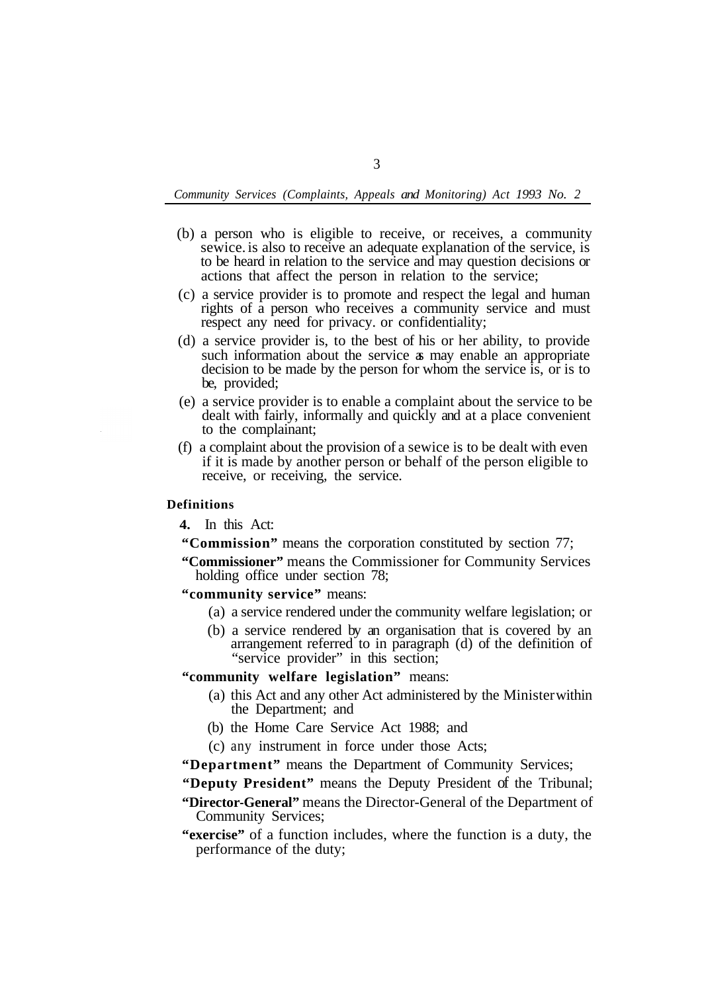- (b) a person who is eligible to receive, or receives, a community sewice. is also to receive an adequate explanation of the service, is to be heard in relation to the service and may question decisions or actions that affect the person in relation to the service;
- (c) a service provider is to promote and respect the legal and human rights of a person who receives a community service and must respect any need for privacy. or confidentiality;
- (d) a service provider is, to the best of his or her ability, to provide such information about the service as may enable an appropriate decision to be made by the person for whom the service is, or is to be, provided;
- (e) a service provider is to enable a complaint about the service to be dealt with fairly, informally and quickly and at a place convenient to the complainant;
- (f) a complaint about the provision of a sewice is to be dealt with even if it is made by another person or behalf of the person eligible to receive, or receiving, the service.

### **Definitions**

**4.** In this Act:

**"Commission"** means the corporation constituted by section 77;

**"Commissioner"** means the Commissioner for Community Services holding office under section 78;

- **"community service"** means:
	- (a) a service rendered under the community welfare legislation; or
	- (b) a service rendered by an organisation that is covered by an arrangement referred to in paragraph (d) of the definition of "service provider" in this section;

**"community welfare legislation"** means:

- (a) this Act and any other Act administered by the Minister within the Department; and
- (b) the Home Care Service Act 1988; and
- (c) any instrument in force under those Acts;
- **"Department"** means the Department of Community Services;

**"Deputy President"** means the Deputy President of the Tribunal;

**"Director-General"** means the Director-General of the Department of Community Services;

**"exercise"** of a function includes, where the function is a duty, the performance of the duty;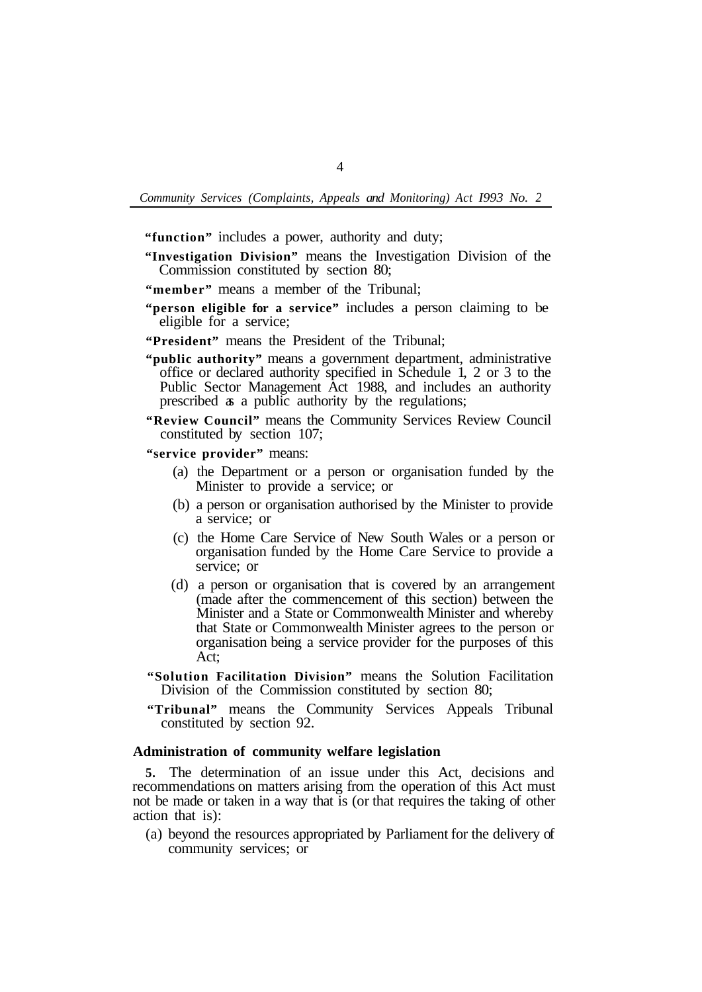**"function"** includes a power, authority and duty;

**"Investigation Division"** means the Investigation Division of the Commission constituted by section 80;

- **"member"** means a member of the Tribunal;
- **"person eligible for a service"** includes a person claiming to be eligible for a service;
- **"President"** means the President of the Tribunal;
- **"public authority"** means a government department, administrative office or declared authority specified in Schedule 1, 2 or 3 to the Public Sector Management Act 1988, and includes an authority prescribed as a public authority by the regulations;
- **"Review Council"** means the Community Services Review Council constituted by section 107;

**"service provider"** means:

- (a) the Department or a person or organisation funded by the Minister to provide a service; or
- (b) a person or organisation authorised by the Minister to provide a service; or
- (c) the Home Care Service of New South Wales or a person or organisation funded by the Home Care Service to provide a service; or
- (d) a person or organisation that is covered by an arrangement (made after the commencement of this section) between the Minister and a State or Commonwealth Minister and whereby that State or Commonwealth Minister agrees to the person or organisation being a service provider for the purposes of this Act;
- **"Solution Facilitation Division"** means the Solution Facilitation Division of the Commission constituted by section 80;
- **"Tribunal"** means the Community Services Appeals Tribunal constituted by section 92.

### **Administration of community welfare legislation**

**5.** The determination of an issue under this Act, decisions and recommendations on matters arising from the operation of this Act must not be made or taken in a way that is (or that requires the taking of other action that is):

(a) beyond the resources appropriated by Parliament for the delivery of community services; or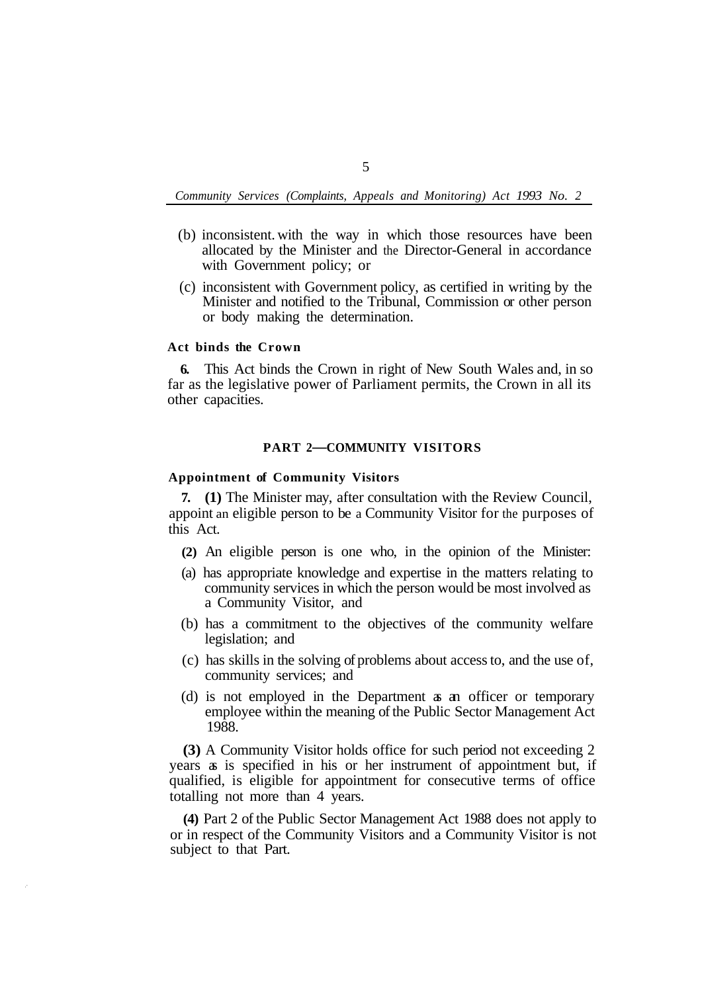- (b) inconsistent. with the way in which those resources have been allocated by the Minister and the Director-General in accordance with Government policy; or
- (c) inconsistent with Government policy, as certified in writing by the Minister and notified to the Tribunal, Commission or other person or body making the determination.

#### **Act binds the Crown**

**6.** This Act binds the Crown in right of New South Wales and, in so far as the legislative power of Parliament permits, the Crown in all its other capacities.

# **PART 2—COMMUNITY VISITORS**

# **Appointment of Community Visitors**

**7. (1)** The Minister may, after consultation with the Review Council, appoint an eligible person to be a Community Visitor for the purposes of this Act.

- **(2)** An eligible person is one who, in the opinion of the Minister:
- (a) has appropriate knowledge and expertise in the matters relating to community services in which the person would be most involved as a Community Visitor, and
- (b) has a commitment to the objectives of the community welfare legislation; and
- (c) has skills in the solving of problems about access to, and the use of, community services; and
- (d) is not employed in the Department as an officer or temporary employee within the meaning of the Public Sector Management Act 1988.

**(3)** A Community Visitor holds office for such period not exceeding 2 years as is specified in his or her instrument of appointment but, if qualified, is eligible for appointment for consecutive terms of office totalling not more than 4 years.

**(4)** Part 2 of the Public Sector Management Act 1988 does not apply to or in respect of the Community Visitors and a Community Visitor is not subject to that Part.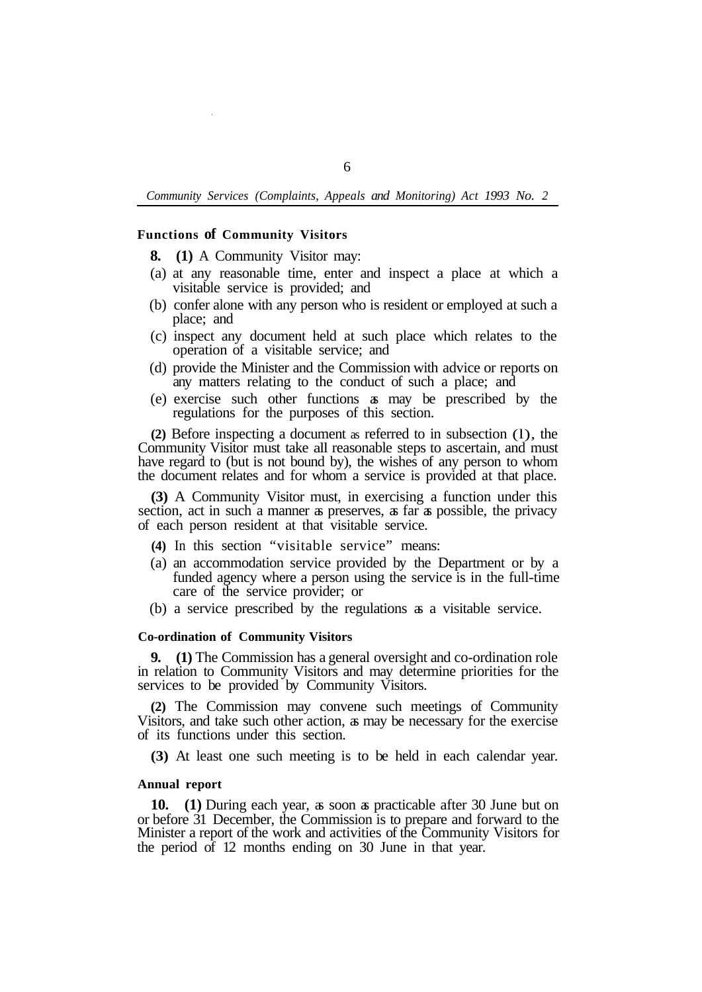#### **Functions of Community Visitors**

**8. (1)** A Community Visitor may:

- (a) at any reasonable time, enter and inspect a place at which a visitable service is provided; and
- (b) confer alone with any person who is resident or employed at such a place; and
- (c) inspect any document held at such place which relates to the operation of a visitable service; and
- (d) provide the Minister and the Commission with advice or reports on any matters relating to the conduct of such a place; and
- (e) exercise such other functions as may be prescribed by the regulations for the purposes of this section.

**(2)** Before inspecting a document as referred to in subsection (l), the Community Visitor must take all reasonable steps to ascertain, and must have regard to (but is not bound by), the wishes of any person to whom the document relates and for whom a service is provided at that place.

**(3)** A Community Visitor must, in exercising a function under this section, act in such a manner as preserves, as far as possible, the privacy of each person resident at that visitable service.

- **(4)** In this section "visitable service" means:
- (a) an accommodation service provided by the Department or by a funded agency where a person using the service is in the full-time care of the service provider; or
- (b) a service prescribed by the regulations as a visitable service.

#### **Co-ordination of Community Visitors**

**9. (1)** The Commission has a general oversight and co-ordination role in relation to Community Visitors and may determine priorities for the services to be provided by Community Visitors.

**(2)** The Commission may convene such meetings of Community Visitors, and take such other action, as may be necessary for the exercise of its functions under this section.

**(3)** At least one such meeting is to be held in each calendar year.

#### **Annual report**

**10. (1)** During each year, as soon as practicable after 30 June but on or before 31 December, the Commission is to prepare and forward to the Minister a report of the work and activities of the Community Visitors for the period of 12 months ending on 30 June in that year.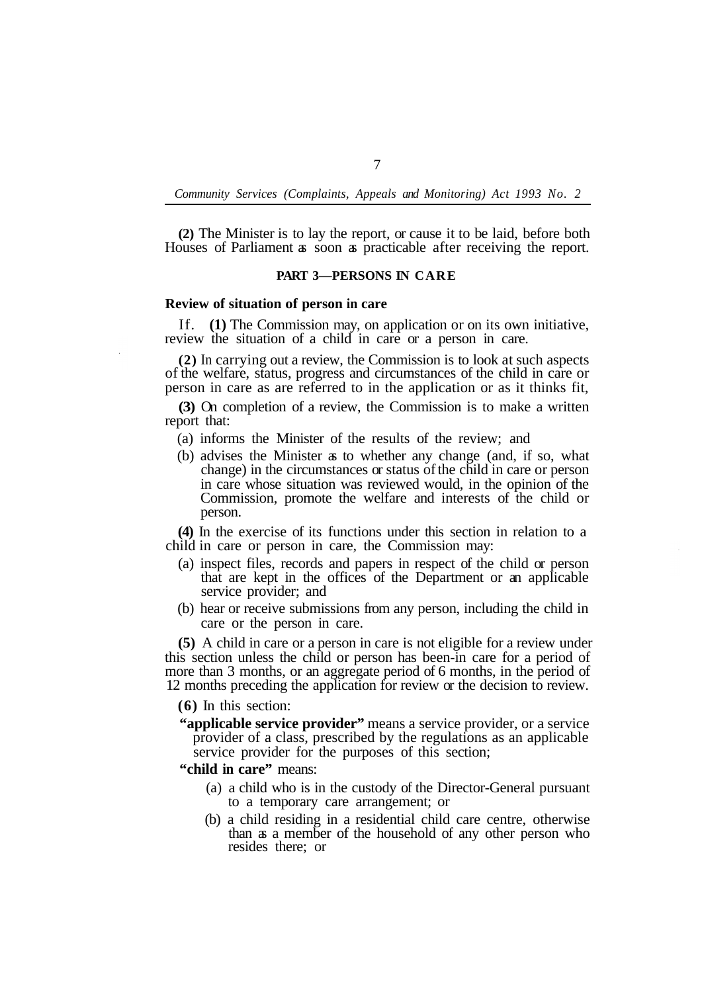**(2)** The Minister is to lay the report, or cause it to be laid, before both Houses of Parliament as soon as practicable after receiving the report.

#### **PART 3—PERSONS IN CARE**

#### **Review of situation of person in care**

If. **(1)** The Commission may, on application or on its own initiative, review the situation of a child in care or a person in care.

**(2)** In carrying out a review, the Commission is to look at such aspects of the welfare, status, progress and circumstances of the child in care or person in care as are referred to in the application or as it thinks fit,

**(3)** On completion of a review, the Commission is to make a written report that:

- (a) informs the Minister of the results of the review; and
- (b) advises the Minister as to whether any change (and, if so, what change) in the circumstances or status of the child in care or person in care whose situation was reviewed would, in the opinion of the Commission, promote the welfare and interests of the child or person.

**(4)** In the exercise of its functions under this section in relation to a child in care or person in care, the Commission may:

- (a) inspect files, records and papers in respect of the child or person that are kept in the offices of the Department or an applicable service provider; and
- (b) hear or receive submissions from any person, including the child in care or the person in care.

**(5)** A child in care or a person in care is not eligible for a review under this section unless the child or person has been-in care for a period of more than 3 months, or an aggregate period of 6 months, in the period of 12 months preceding the application for review or the decision to review.

**(6)** In this section:

**"applicable service provider"** means a service provider, or a service provider of a class, prescribed by the regulations as an applicable service provider for the purposes of this section;

**"child in care"** means:

- (a) a child who is in the custody of the Director-General pursuant to a temporary care arrangement; or
- (b) a child residing in a residential child care centre, otherwise than as a member of the household of any other person who resides there; or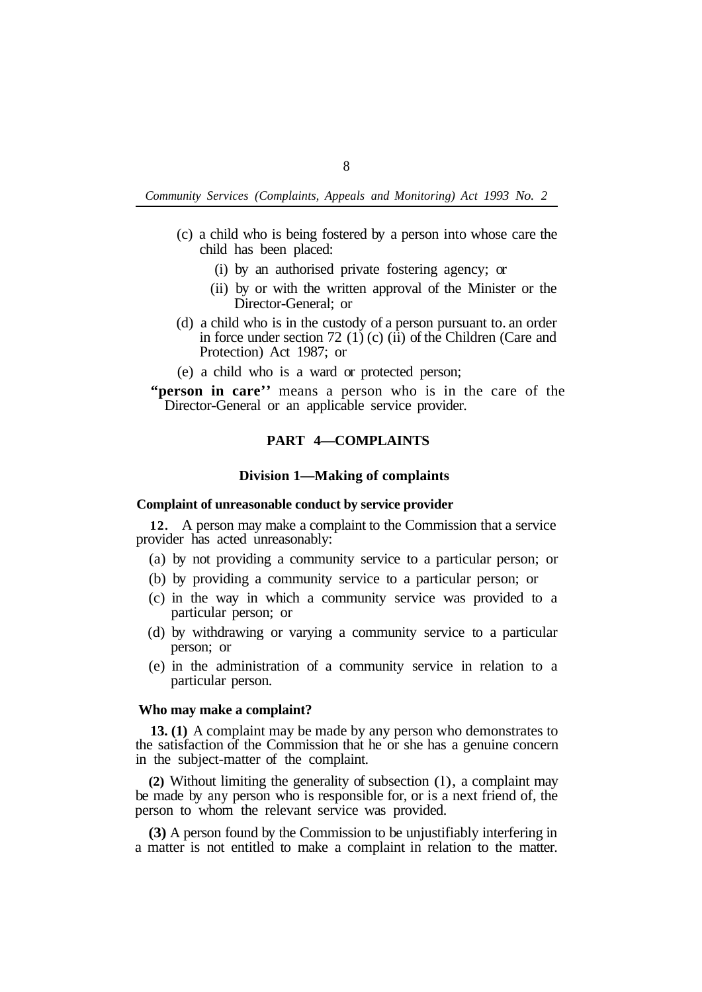- (c) a child who is being fostered by a person into whose care the child has been placed:
	- (i) by an authorised private fostering agency; or
	- (ii) by or with the written approval of the Minister or the Director-General; or
- (d) a child who is in the custody of a person pursuant to. an order in force under section 72 (1) (c) (ii) of the Children (Care and Protection) Act 1987; or
- (e) a child who is a ward or protected person;
- Director-General or an applicable service provider. **"person in care''** means a person who is in the care of the

# **PART 4—COMPLAINTS**

#### **Division 1—Making of complaints**

#### **Complaint of unreasonable conduct by service provider**

provider has acted unreasonably: **12.** A person may make a complaint to the Commission that a service

- (a) by not providing a community service to a particular person; or
- (b) by providing a community service to a particular person; or
- (c) in the way in which a community service was provided to a particular person; or
- (d) by withdrawing or varying a community service to a particular person; or
- (e) in the administration of a community service in relation to a particular person.

#### **Who may make a complaint?**

**13. (1)** A complaint may be made by any person who demonstrates to the satisfaction of the Commission that he or she has a genuine concern in the subject-matter of the complaint.

**(2)** Without limiting the generality of subsection (l), a complaint may be made by any person who is responsible for, or is a next friend of, the person to whom the relevant service was provided.

**(3)** A person found by the Commission to be unjustifiably interfering in a matter is not entitled to make a complaint in relation to the matter.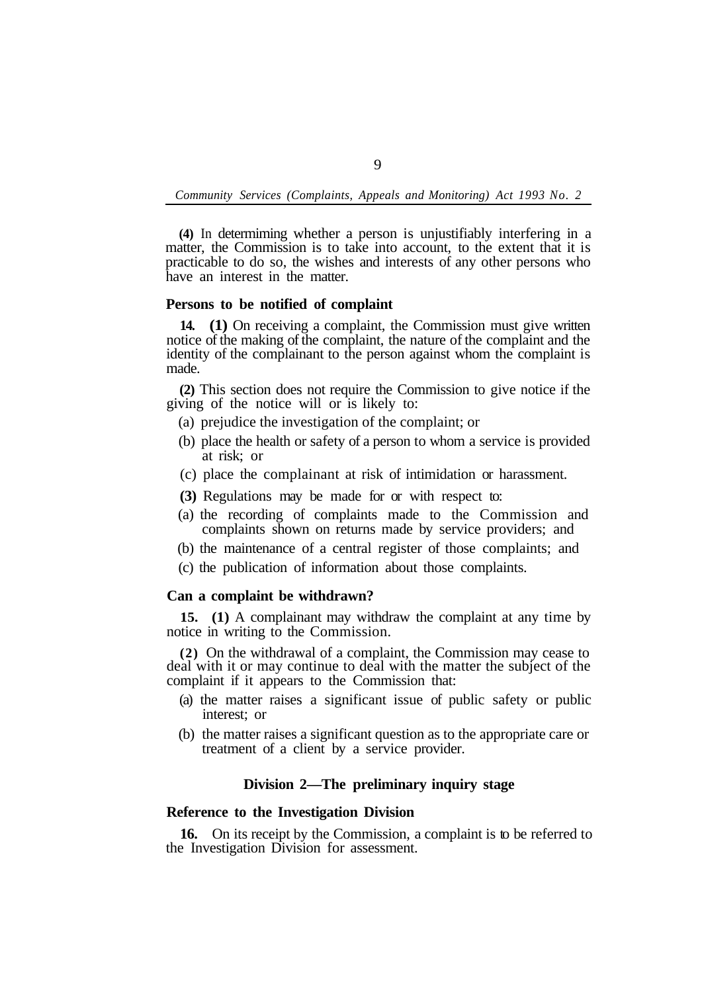**(4)** In determiming whether a person is unjustifiably interfering in a matter, the Commission is to take into account, to the extent that it is practicable to do so, the wishes and interests of any other persons who have an interest in the matter.

# **Persons to be notified of complaint**

**14. (1)** On receiving a complaint, the Commission must give written notice of the making of the complaint, the nature of the complaint and the identity of the complainant to the person against whom the complaint is made.

**(2)** This section does not require the Commission to give notice if the giving of the notice will or is likely to:

- (a) prejudice the investigation of the complaint; or
- (b) place the health or safety of a person to whom a service is provided at risk; or
- (c) place the complainant at risk of intimidation or harassment.
- **(3)** Regulations may be made for or with respect to:
- (a) the recording of complaints made to the Commission and complaints shown on returns made by service providers; and
- (b) the maintenance of a central register of those complaints; and
- (c) the publication of information about those complaints.

### **Can a complaint be withdrawn?**

**15. (1)** A complainant may withdraw the complaint at any time by notice in writing to the Commission.

**(2)** On the withdrawal of a complaint, the Commission may cease to deal with it or may continue to deal with the matter the subject of the complaint if it appears to the Commission that:

- (a) the matter raises a significant issue of public safety or public interest; or
- (b) the matter raises a significant question as to the appropriate care or treatment of a client by a service provider.

## **Division 2—The preliminary inquiry stage**

## **Reference to the Investigation Division**

the Investigation Division for assessment. **16.** On its receipt by the Commission, a complaint is to be referred to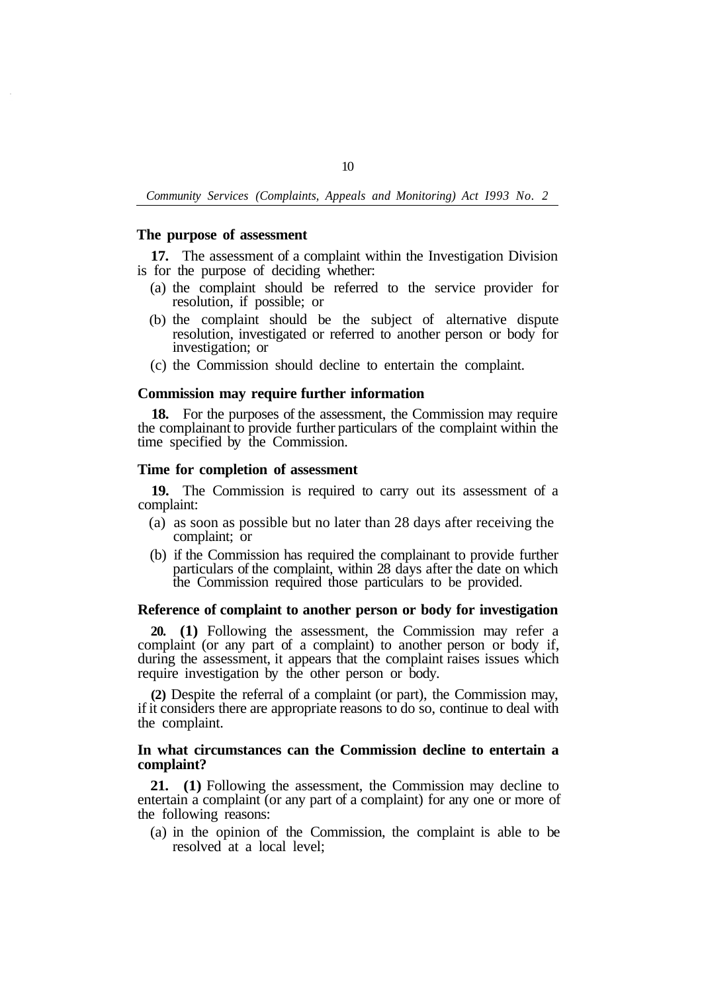#### **The purpose of assessment**

is for the purpose of deciding whether: **17.** The assessment of a complaint within the Investigation Division

- (a) the complaint should be referred to the service provider for resolution, if possible; or
- (b) the complaint should be the subject of alternative dispute resolution, investigated or referred to another person or body for investigation; or
- (c) the Commission should decline to entertain the complaint.

## **Commission may require further information**

**18.** For the purposes of the assessment, the Commission may require the complainant to provide further particulars of the complaint within the time specified by the Commission.

## **Time for completion of assessment**

complaint: **19.** The Commission is required to carry out its assessment of a

- (a) as soon as possible but no later than 28 days after receiving the complaint; or
- (b) if the Commission has required the complainant to provide further particulars of the complaint, within 28 days after the date on which the Commission required those particulars to be provided.

#### **Reference of complaint to another person or body for investigation**

**20. (1)** Following the assessment, the Commission may refer a complaint (or any part of a complaint) to another person or body if, during the assessment, it appears that the complaint raises issues which require investigation by the other person or body.

**(2)** Despite the referral of a complaint (or part), the Commission may, if it considers there are appropriate reasons to do so, continue to deal with the complaint.

#### **In what circumstances can the Commission decline to entertain a complaint?**

**21. (1)** Following the assessment, the Commission may decline to entertain a complaint (or any part of a complaint) for any one or more of the following reasons:

(a) in the opinion of the Commission, the complaint is able to be resolved at a local level;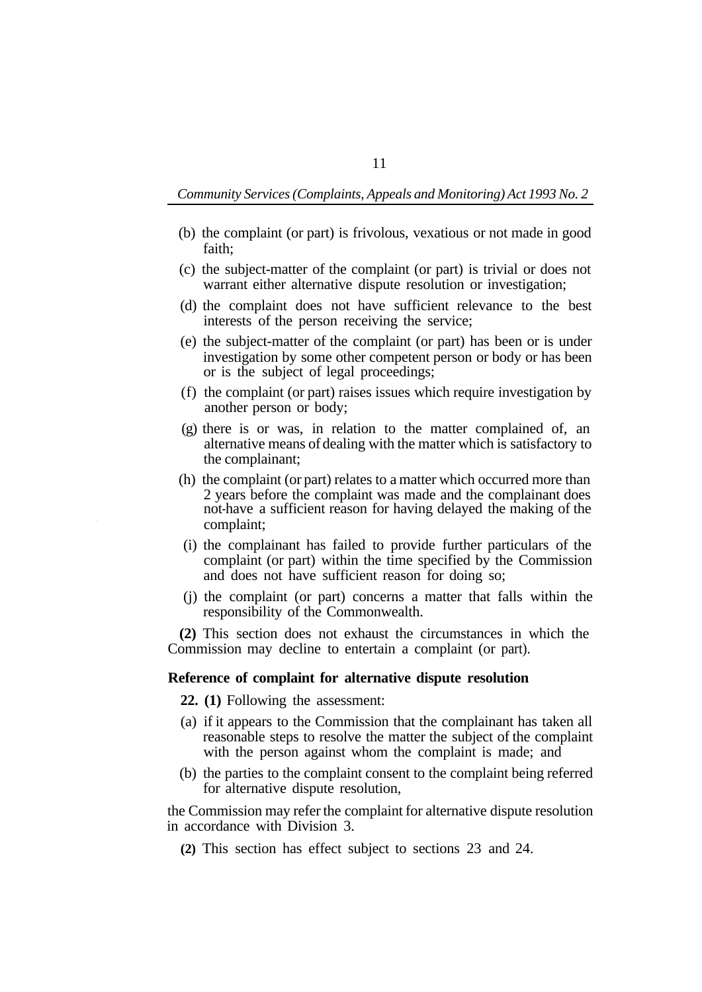- (b) the complaint (or part) is frivolous, vexatious or not made in good faith;
- (c) the subject-matter of the complaint (or part) is trivial or does not warrant either alternative dispute resolution or investigation;
- (d) the complaint does not have sufficient relevance to the best interests of the person receiving the service;
- (e) the subject-matter of the complaint (or part) has been or is under investigation by some other competent person or body or has been or is the subject of legal proceedings;
- (f) the complaint (or part) raises issues which require investigation by another person or body;
- (g) there is or was, in relation to the matter complained of, an alternative means of dealing with the matter which is satisfactory to the complainant;
- (h) the complaint (or part) relates to a matter which occurred more than 2 years before the complaint was made and the complainant does not-have a sufficient reason for having delayed the making of the complaint;
- (i) the complainant has failed to provide further particulars of the complaint (or part) within the time specified by the Commission and does not have sufficient reason for doing so;
- (j) the complaint (or part) concerns a matter that falls within the responsibility of the Commonwealth.

**(2)** This section does not exhaust the circumstances in which the Commission may decline to entertain a complaint (or part).

## **Reference of complaint for alternative dispute resolution**

**22. (1)** Following the assessment:

- (a) if it appears to the Commission that the complainant has taken all reasonable steps to resolve the matter the subject of the complaint with the person against whom the complaint is made; and
- (b) the parties to the complaint consent to the complaint being referred for alternative dispute resolution,

the Commission may refer the complaint for alternative dispute resolution in accordance with Division 3.

**(2)** This section has effect subject to sections 23 and 24.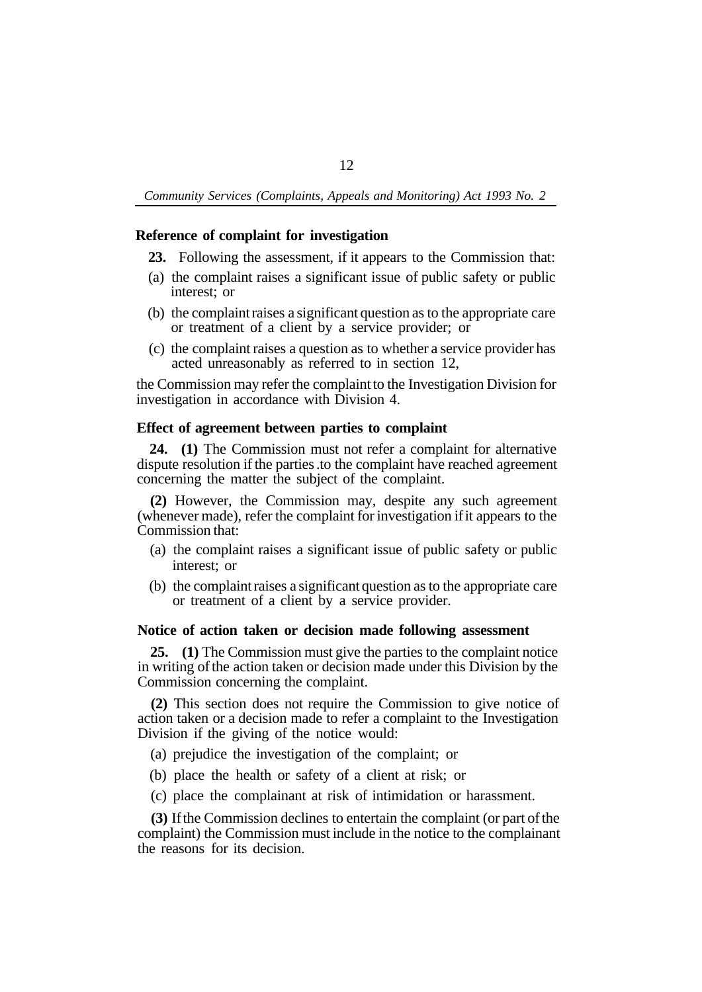# **Reference of complaint for investigation**

- **23.** Following the assessment, if it appears to the Commission that:
- (a) the complaint raises a significant issue of public safety or public interest; or
- (b) the complaintraises a significant question asto the appropriate care or treatment of a client by a service provider; or
- (c) the complaint raises a question as to whether a service provider has acted unreasonably as referred to in section 12,

the Commission may refer the complaint to the Investigation Division for investigation in accordance with Division 4.

# **Effect of agreement between parties to complaint**

**24. (1)** The Commission must not refer a complaint for alternative dispute resolution if the parties .to the complaint have reached agreement concerning the matter the subject of the complaint.

**(2)** However, the Commission may, despite any such agreement (whenever made), refer the complaint for investigation if it appears to the Commission that:

- (a) the complaint raises a significant issue of public safety or public interest; or
- (b) the complaint raises a significant question as to the appropriate care or treatment of a client by a service provider.

# **Notice of action taken or decision made following assessment**

**25. (1)** The Commission must give the parties to the complaint notice in writing of the action taken or decision made under this Division by the Commission concerning the complaint.

**(2)** This section does not require the Commission to give notice of action taken or a decision made to refer a complaint to the Investigation Division if the giving of the notice would:

- (a) prejudice the investigation of the complaint; or
- (b) place the health or safety of a client at risk; or
- (c) place the complainant at risk of intimidation or harassment.

**(3)** If the Commission declines to entertain the complaint (or part of the complaint) the Commission must include in the notice to the complainant the reasons for its decision.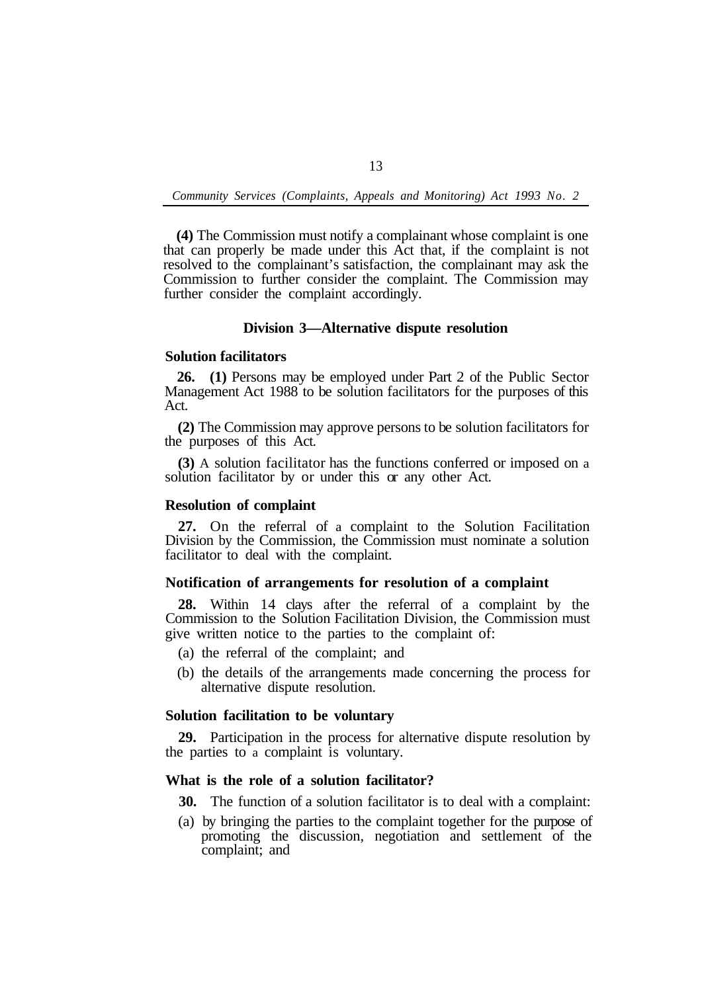**(4)** The Commission must notify a complainant whose complaint is one that can properly be made under this Act that, if the complaint is not resolved to the complainant's satisfaction, the complainant may ask the Commission to further consider the complaint. The Commission may further consider the complaint accordingly.

# **Division 3—Alternative dispute resolution**

## **Solution facilitators**

**26. (1)** Persons may be employed under Part 2 of the Public Sector Management Act 1988 to be solution facilitators for the purposes of this Act.

**(2)** The Commission may approve persons to be solution facilitators for the purposes of this Act.

**(3)** A solution facilitator has the functions conferred or imposed on a solution facilitator by or under this or any other Act.

#### **Resolution of complaint**

**27.** On the referral of a complaint to the Solution Facilitation Division by the Commission, the Commission must nominate a solution facilitator to deal with the complaint.

# **Notification of arrangements for resolution of a complaint**

**28.** Within 14 clays after the referral of a complaint by the Commission to the Solution Facilitation Division, the Commission must give written notice to the parties to the complaint of:

- (a) the referral of the complaint; and
- (b) the details of the arrangements made concerning the process for alternative dispute resolution.

# **Solution facilitation to be voluntary**

the parties to a complaint is voluntary. **29.** Participation in the process for alternative dispute resolution by

# **What is the role of a solution facilitator?**

**30.** The function of a solution facilitator is to deal with a complaint:

(a) by bringing the parties to the complaint together for the purpose of promoting the discussion, negotiation and settlement of the complaint; and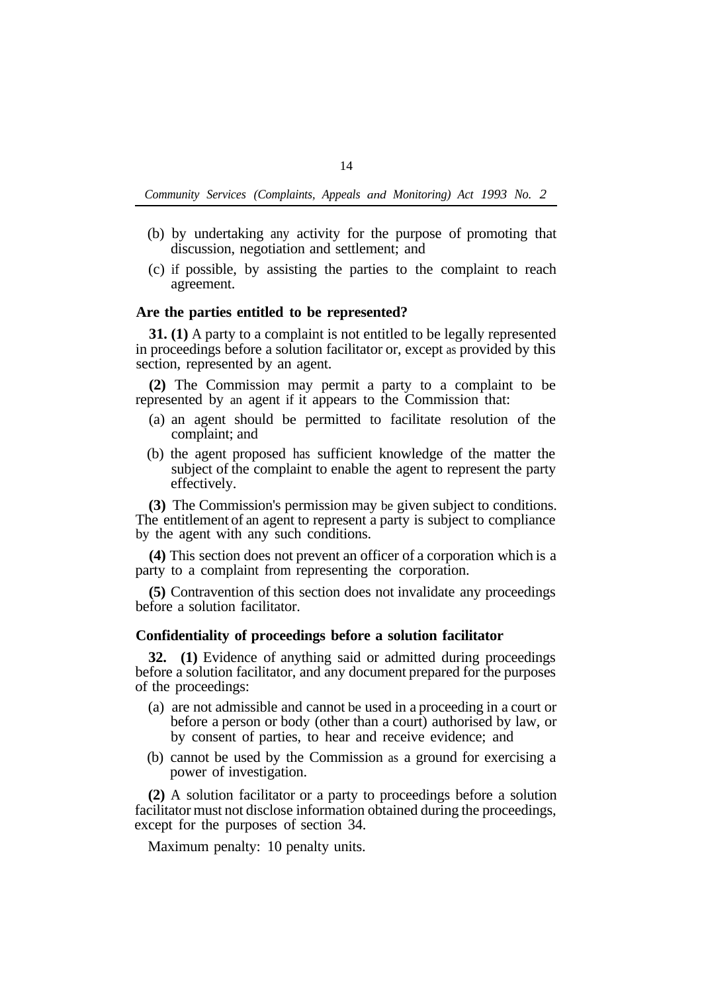- (b) by undertaking any activity for the purpose of promoting that discussion, negotiation and settlement; and
- (c) if possible, by assisting the parties to the complaint to reach agreement.

## **Are the parties entitled to be represented?**

**31. (1)** A party to a complaint is not entitled to be legally represented in proceedings before a solution facilitator or, except as provided by this section, represented by an agent.

**(2)** The Commission may permit a party to a complaint to be represented by an agent if it appears to the Commission that:

- (a) an agent should be permitted to facilitate resolution of the complaint; and
- (b) the agent proposed has sufficient knowledge of the matter the subject of the complaint to enable the agent to represent the party effectively.

**(3)** The Commission's permission may be given subject to conditions. The entitlement of an agent to represent a party is subject to compliance by the agent with any such conditions.

**(4)** This section does not prevent an officer of a corporation which is a party to a complaint from representing the corporation.

**(5)** Contravention of this section does not invalidate any proceedings before a solution facilitator.

### **Confidentiality of proceedings before a solution facilitator**

**32. (1)** Evidence of anything said or admitted during proceedings before a solution facilitator, and any document prepared for the purposes of the proceedings:

- (a) are not admissible and cannot be used in a proceeding in a court or before a person or body (other than a court) authorised by law, or by consent of parties, to hear and receive evidence; and
- (b) cannot be used by the Commission as a ground for exercising a power of investigation.

**(2)** A solution facilitator or a party to proceedings before a solution facilitator must not disclose information obtained during the proceedings, except for the purposes of section 34.

Maximum penalty: 10 penalty units.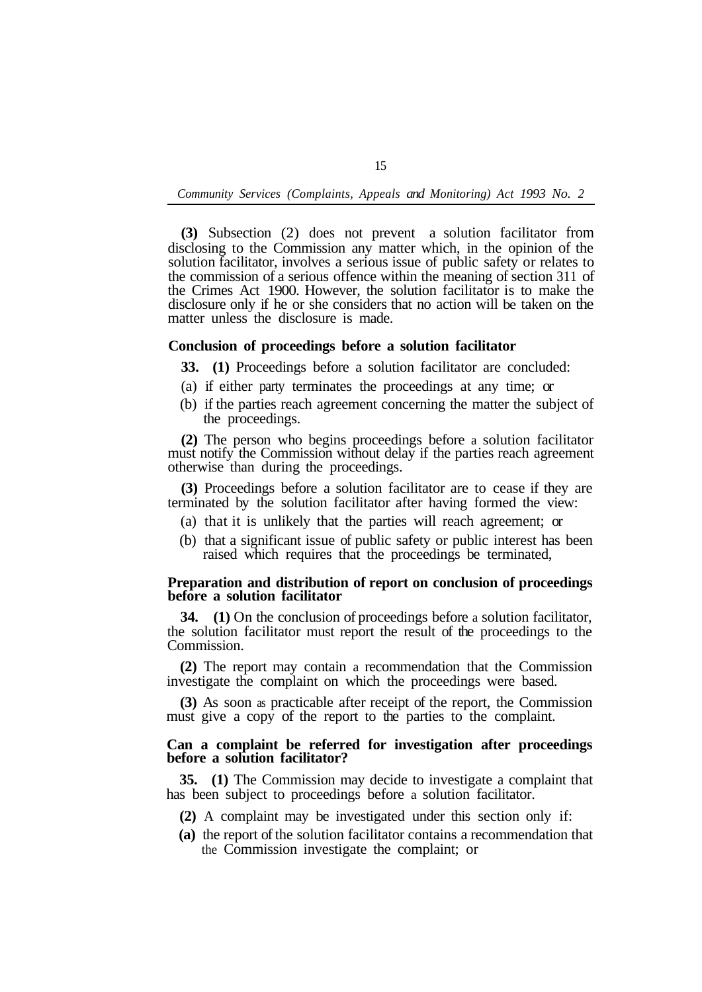**(3)** Subsection (2) does not prevent a solution facilitator from disclosing to the Commission any matter which, in the opinion of the solution facilitator, involves a serious issue of public safety or relates to the commission of a serious offence within the meaning of section 311 of the Crimes Act 1900. However, the solution facilitator is to make the disclosure only if he or she considers that no action will be taken on the matter unless the disclosure is made.

## **Conclusion of proceedings before a solution facilitator**

- **33. (1)** Proceedings before a solution facilitator are concluded:
- (a) if either party terminates the proceedings at any time; or
- (b) if the parties reach agreement concerning the matter the subject of the proceedings.

**(2)** The person who begins proceedings before a solution facilitator must notify the Commission without delay if the parties reach agreement otherwise than during the proceedings.

**(3)** Proceedings before a solution facilitator are to cease if they are terminated by the solution facilitator after having formed the view:

- (a) that it is unlikely that the parties will reach agreement; or
- (b) that a significant issue of public safety or public interest has been raised which requires that the proceedings be terminated,

### **Preparation and distribution of report on conclusion of proceedings before a solution facilitator**

**34. (1)** On the conclusion of proceedings before a solution facilitator, the solution facilitator must report the result of the proceedings to the Commission.

**(2)** The report may contain a recommendation that the Commission investigate the complaint on which the proceedings were based.

**(3)** As soon as practicable after receipt of the report, the Commission must give a copy of the report to the parties to the complaint.

# **Can a complaint be referred for investigation after proceedings before a solution facilitator?**

**35. (1)** The Commission may decide to investigate a complaint that has been subject to proceedings before a solution facilitator.

- **(2)** A complaint may be investigated under this section only if:
- **(a)** the report of the solution facilitator contains a recommendation that the Commission investigate the complaint; or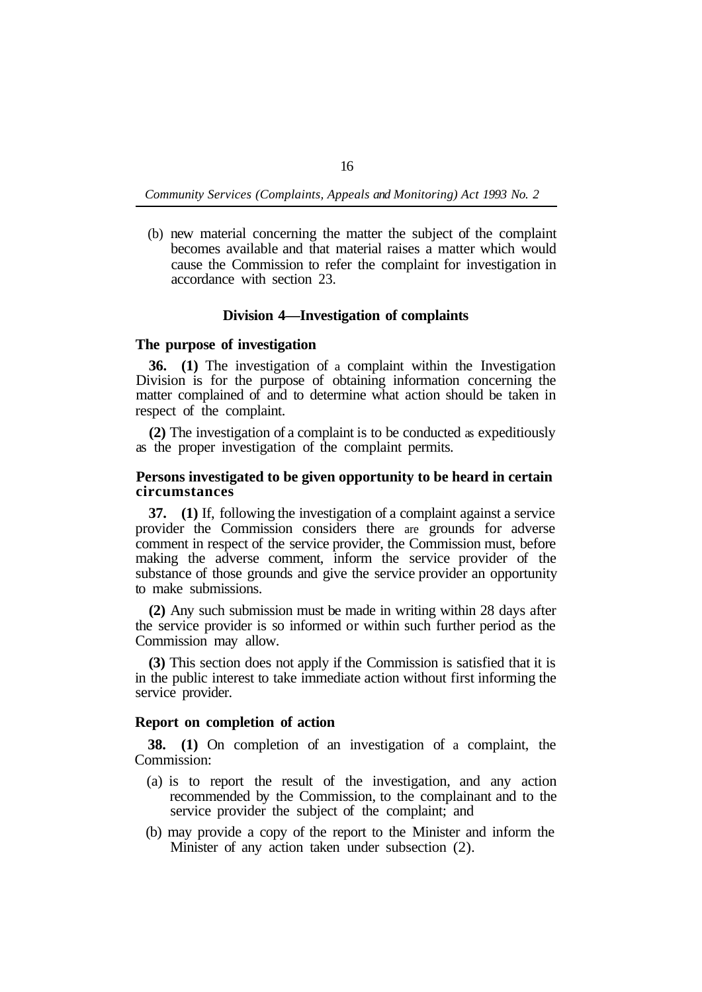(b) new material concerning the matter the subject of the complaint becomes available and that material raises a matter which would cause the Commission to refer the complaint for investigation in accordance with section 23.

# **Division 4—Investigation of complaints**

## **The purpose of investigation**

**36. (1)** The investigation of a complaint within the Investigation Division is for the purpose of obtaining information concerning the matter complained of and to determine what action should be taken in respect of the complaint.

**(2)** The investigation of a complaint is to be conducted as expeditiously as the proper investigation of the complaint permits.

# **Persons investigated to be given opportunity to be heard in certain circumstances**

**37. (1)** If, following the investigation of a complaint against a service provider the Commission considers there are grounds for adverse comment in respect of the service provider, the Commission must, before making the adverse comment, inform the service provider of the substance of those grounds and give the service provider an opportunity to make submissions.

**(2)** Any such submission must be made in writing within 28 days after the service provider is so informed or within such further period as the Commission may allow.

**(3)** This section does not apply if the Commission is satisfied that it is in the public interest to take immediate action without first informing the service provider.

# **Report on completion of action**

Commission: **38. (1)** On completion of an investigation of a complaint, the

- (a) is to report the result of the investigation, and any action recommended by the Commission, to the complainant and to the service provider the subject of the complaint; and
- (b) may provide a copy of the report to the Minister and inform the Minister of any action taken under subsection (2).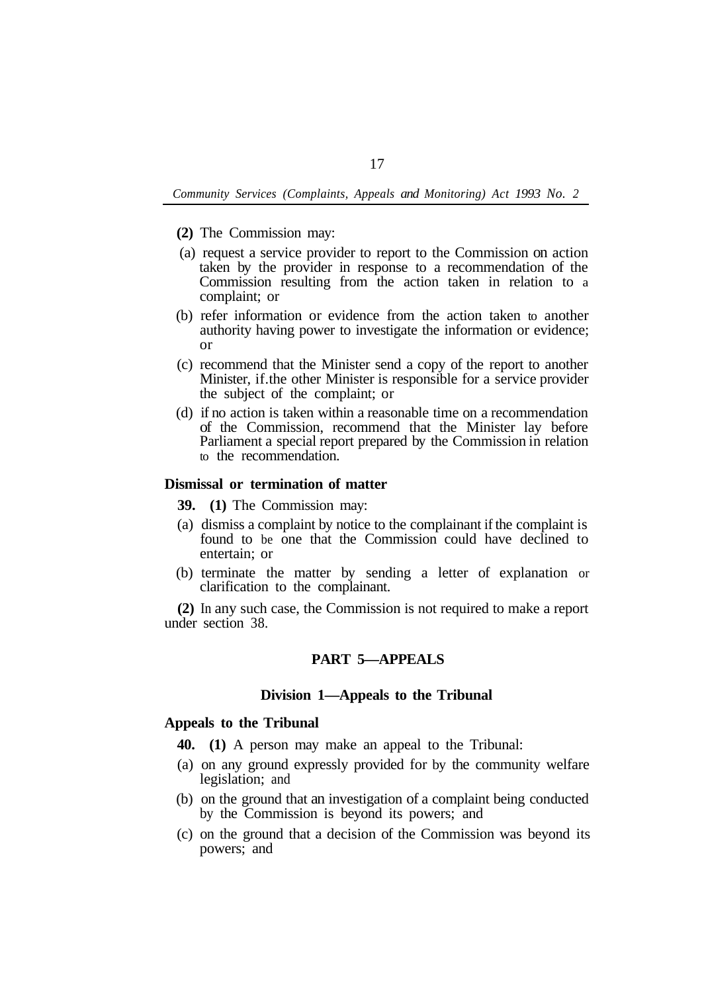- **(2)** The Commission may:
- (a) request a service provider to report to the Commission on action taken by the provider in response to a recommendation of the Commission resulting from the action taken in relation to a complaint; or
- (b) refer information or evidence from the action taken to another authority having power to investigate the information or evidence; or
- (c) recommend that the Minister send a copy of the report to another Minister, if. the other Minister is responsible for a service provider the subject of the complaint; or
- (d) if no action is taken within a reasonable time on a recommendation of the Commission, recommend that the Minister lay before Parliament a special report prepared by the Commission in relation to the recommendation.

# **Dismissal or termination of matter**

**39. (1)** The Commission may:

- (a) dismiss a complaint by notice to the complainant if the complaint is found to be one that the Commission could have declined to entertain; or
- (b) terminate the matter by sending a letter of explanation or clarification to the complainant.

**(2)** In any such case, the Commission is not required to make a report under section 38.

# **PART 5—APPEALS**

## **Division 1—Appeals to the Tribunal**

# **Appeals to the Tribunal**

**40. (1)** A person may make an appeal to the Tribunal:

- (a) on any ground expressly provided for by the community welfare legislation; and
- (b) on the ground that an investigation of a complaint being conducted by the Commission is beyond its powers; and
- (c) on the ground that a decision of the Commission was beyond its powers; and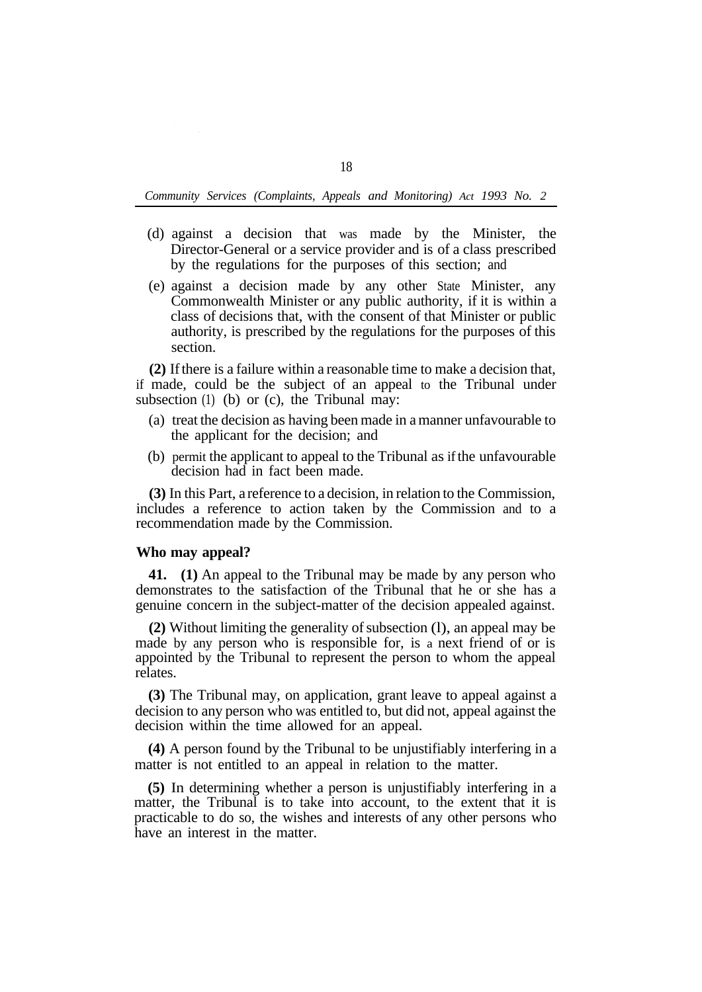- (d) against a decision that was made by the Minister, the Director-General or a service provider and is of a class prescribed by the regulations for the purposes of this section; and
- (e) against a decision made by any other State Minister, any Commonwealth Minister or any public authority, if it is within a class of decisions that, with the consent of that Minister or public authority, is prescribed by the regulations for the purposes of this section.

**(2)** If there is a failure within a reasonable time to make a decision that, if made, could be the subject of an appeal to the Tribunal under subsection (1) (b) or (c), the Tribunal may:

- (a) treat the decision as having been made in a manner unfavourable to the applicant for the decision; and
- (b) permit the applicant to appeal to the Tribunal as ifthe unfavourable decision had in fact been made.

**(3)** In this Part, a reference to a decision, in relation to the Commission, includes a reference to action taken by the Commission and to a recommendation made by the Commission.

## **Who may appeal?**

**41. (1)** An appeal to the Tribunal may be made by any person who demonstrates to the satisfaction of the Tribunal that he or she has a genuine concern in the subject-matter of the decision appealed against.

**(2)** Without limiting the generality of subsection (l), an appeal may be made by any person who is responsible for, is a next friend of or is appointed by the Tribunal to represent the person to whom the appeal relates.

**(3)** The Tribunal may, on application, grant leave to appeal against a decision to any person who was entitled to, but did not, appeal against the decision within the time allowed for an appeal.

**(4)** A person found by the Tribunal to be unjustifiably interfering in a matter is not entitled to an appeal in relation to the matter.

**(5)** In determining whether a person is unjustifiably interfering in a matter, the Tribunal is to take into account, to the extent that it is practicable to do so, the wishes and interests of any other persons who have an interest in the matter.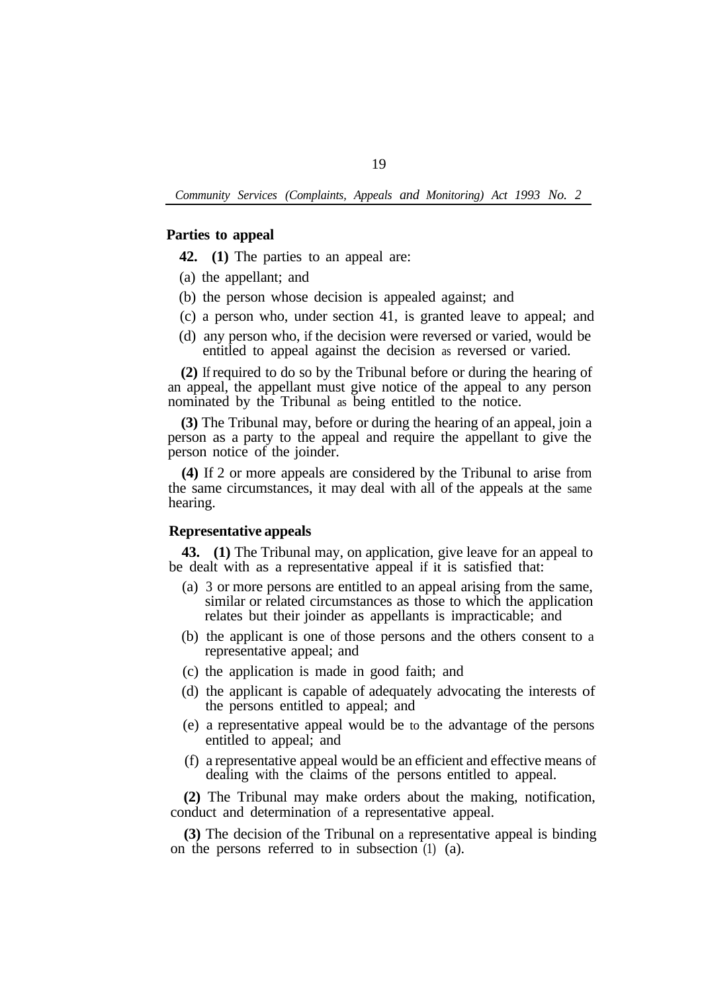#### **Parties to appeal**

**42. (1)** The parties to an appeal are:

- (a) the appellant; and
- (b) the person whose decision is appealed against; and
- (c) a person who, under section 41, is granted leave to appeal; and
- (d) any person who, if the decision were reversed or varied, would be entitled to appeal against the decision as reversed or varied.

**(2)** If required to do so by the Tribunal before or during the hearing of an appeal, the appellant must give notice of the appeal to any person nominated by the Tribunal as being entitled to the notice.

**(3)** The Tribunal may, before or during the hearing of an appeal, join a person as a party to the appeal and require the appellant to give the person notice of the joinder.

**(4)** If 2 or more appeals are considered by the Tribunal to arise from the same circumstances, it may deal with all of the appeals at the same hearing.

## **Representative appeals**

**43. (1)** The Tribunal may, on application, give leave for an appeal to be dealt with as a representative appeal if it is satisfied that:

- (a) 3 or more persons are entitled to an appeal arising from the same, similar or related circumstances as those to which the application relates but their joinder as appellants is impracticable; and
- (b) the applicant is one of those persons and the others consent to a representative appeal; and
- (c) the application is made in good faith; and
- (d) the applicant is capable of adequately advocating the interests of the persons entitled to appeal; and
- (e) a representative appeal would be to the advantage of the persons entitled to appeal; and
- (f) a representative appeal would be an efficient and effective means of dealing with the claims of the persons entitled to appeal.

**(2)** The Tribunal may make orders about the making, notification, conduct and determination of a representative appeal.

**(3)** The decision of the Tribunal on a representative appeal is binding on the persons referred to in subsection (1) (a).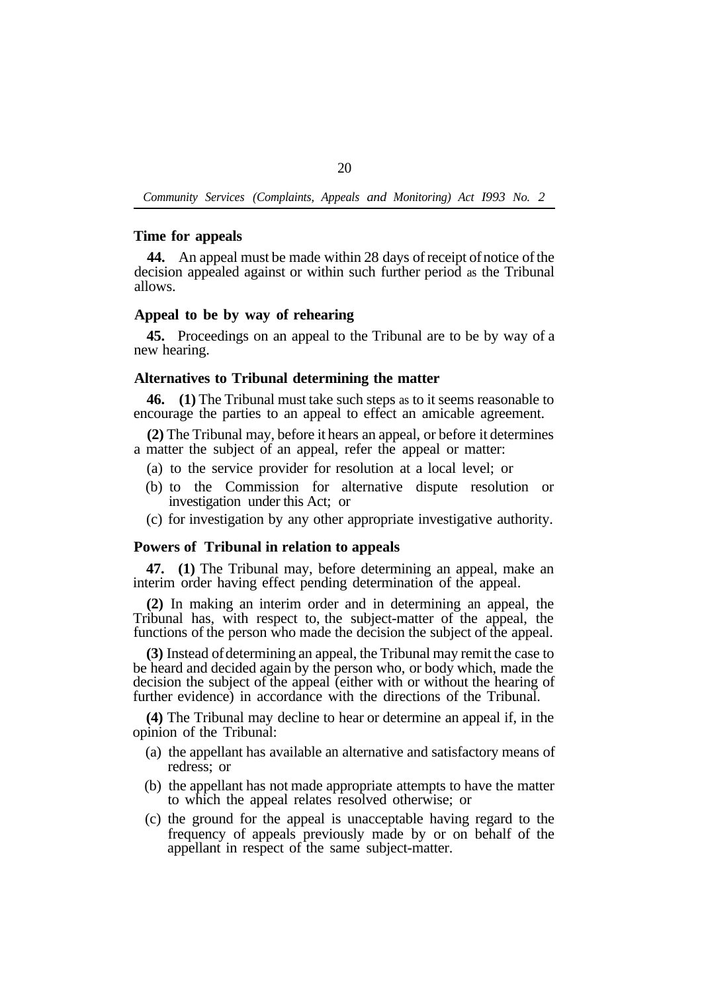#### **Time for appeals**

**44.** An appeal must be made within 28 days of receipt of notice of the decision appealed against or within such further period as the Tribunal allows.

# **Appeal to be by way of rehearing**

**45.** Proceedings on an appeal to the Tribunal are to be by way of a new hearing.

#### **Alternatives to Tribunal determining the matter**

**46. (1)** The Tribunal must take such steps as to it seems reasonable to encourage the parties to an appeal to effect an amicable agreement.

**(2)** The Tribunal may, before it hears an appeal, or before it determines a matter the subject of an appeal, refer the appeal or matter:

- (a) to the service provider for resolution at a local level; or
- (b) to the Commission for alternative dispute resolution or investigation under this Act; or
- (c) for investigation by any other appropriate investigative authority.

# **Powers of Tribunal in relation to appeals**

**47. (1)** The Tribunal may, before determining an appeal, make an interim order having effect pending determination of the appeal.

**(2)** In making an interim order and in determining an appeal, the Tribunal has, with respect to, the subject-matter of the appeal, the functions of the person who made the decision the subject of the appeal.

**(3)** Instead of determining an appeal, the Tribunal may remit the case to be heard and decided again by the person who, or body which, made the decision the subject of the appeal (either with or without the hearing of further evidence) in accordance with the directions of the Tribunal.

**(4)** The Tribunal may decline to hear or determine an appeal if, in the opinion of the Tribunal:

- (a) the appellant has available an alternative and satisfactory means of redress; or
- (b) the appellant has not made appropriate attempts to have the matter to which the appeal relates resolved otherwise; or
- (c) the ground for the appeal is unacceptable having regard to the frequency of appeals previously made by or on behalf of the appellant in respect of the same subject-matter.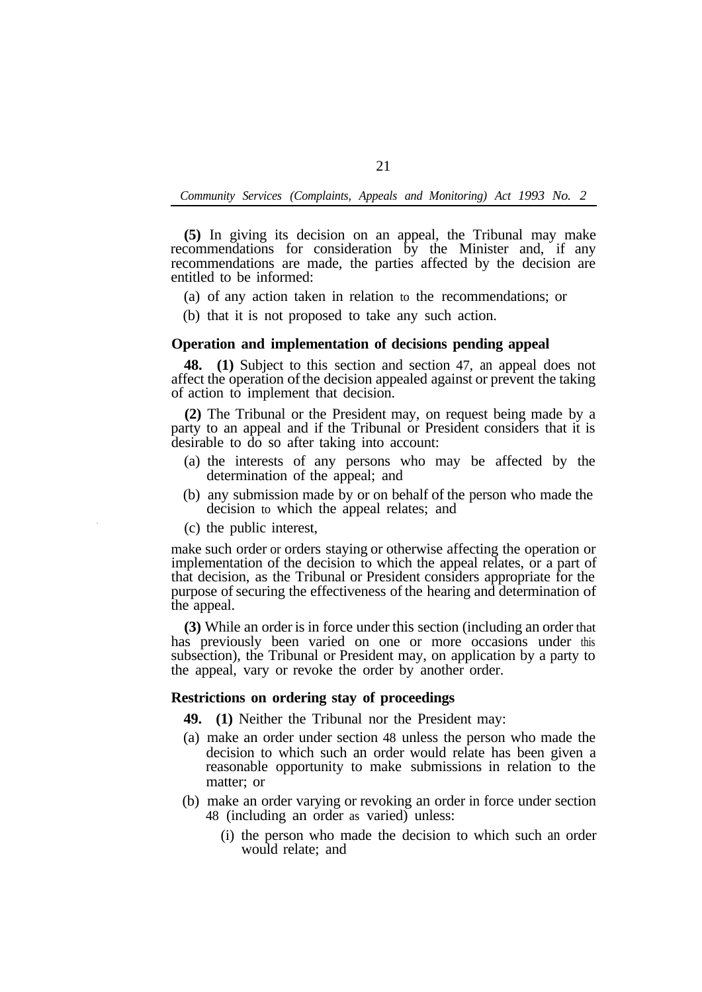**(5)** In giving its decision on an appeal, the Tribunal may make recommendations for consideration by the Minister and, if any recommendations are made, the parties affected by the decision are entitled to be informed:

- (a) of any action taken in relation to the recommendations; or
- (b) that it is not proposed to take any such action.

## **Operation and implementation of decisions pending appeal**

**48. (1)** Subject to this section and section 47, an appeal does not affect the operation of the decision appealed against or prevent the taking of action to implement that decision.

**(2)** The Tribunal or the President may, on request being made by a party to an appeal and if the Tribunal or President considers that it is desirable to do so after taking into account:

- (a) the interests of any persons who may be affected by the determination of the appeal; and
- (b) any submission made by or on behalf of the person who made the decision to which the appeal relates; and
- (c) the public interest,

make such order or orders staying or otherwise affecting the operation or implementation of the decision to which the appeal relates, or a part of that decision, as the Tribunal or President considers appropriate for the purpose of securing the effectiveness of the hearing and determination of the appeal.

**(3)** While an order is in force under this section (including an order that has previously been varied on one or more occasions under this subsection), the Tribunal or President may, on application by a party to the appeal, vary or revoke the order by another order.

#### **Restrictions on ordering stay of proceedings**

- **49. (1)** Neither the Tribunal nor the President may:
- (a) make an order under section 48 unless the person who made the decision to which such an order would relate has been given a reasonable opportunity to make submissions in relation to the matter; or
- (b) make an order varying or revoking an order in force under section 48 (including an order as varied) unless:
	- (i) the person who made the decision to which such an order would relate; and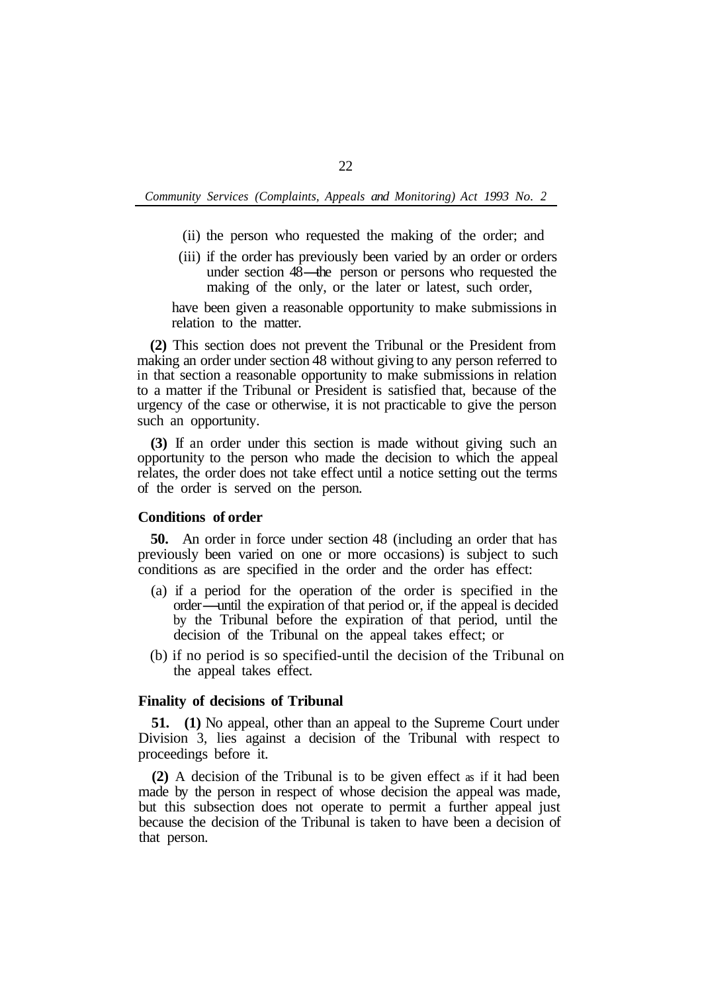- (ii) the person who requested the making of the order; and
- (iii) if the order has previously been varied by an order or orders the person who requested the making of the order; and<br>if the order has previously been varied by an order or orders<br>under section 48—the person or persons who requested the<br>making of the only or the later or later such ord making of the only, or the later or latest, such order,

have been given a reasonable opportunity to make submissions in relation to the matter.

**(2)** This section does not prevent the Tribunal or the President from making an order under section 48 without giving to any person referred to in that section a reasonable opportunity to make submissions in relation to a matter if the Tribunal or President is satisfied that, because of the urgency of the case or otherwise, it is not practicable to give the person such an opportunity.

**(3)** If an order under this section is made without giving such an opportunity to the person who made the decision to which the appeal relates, the order does not take effect until a notice setting out the terms of the order is served on the person.

#### **Conditions of order**

**50.** An order in force under section 48 (including an order that has previously been varied on one or more occasions) is subject to such conditions as are specified in the order and the order has effect:

- (a) if a period for the operation of the order is specified in the order-until the expiration of that period or, if the appeal is decided by the Tribunal before the expiration of that period, until the decision of the Tribunal on the appeal takes effect; or
- (b) if no period is so specified-until the decision of the Tribunal on the appeal takes effect.

### **Finality of decisions of Tribunal**

**51. (1)** No appeal, other than an appeal to the Supreme Court under Division 3, lies against a decision of the Tribunal with respect to proceedings before it.

**(2)** A decision of the Tribunal is to be given effect as if it had been made by the person in respect of whose decision the appeal was made, but this subsection does not operate to permit a further appeal just because the decision of the Tribunal is taken to have been a decision of that person.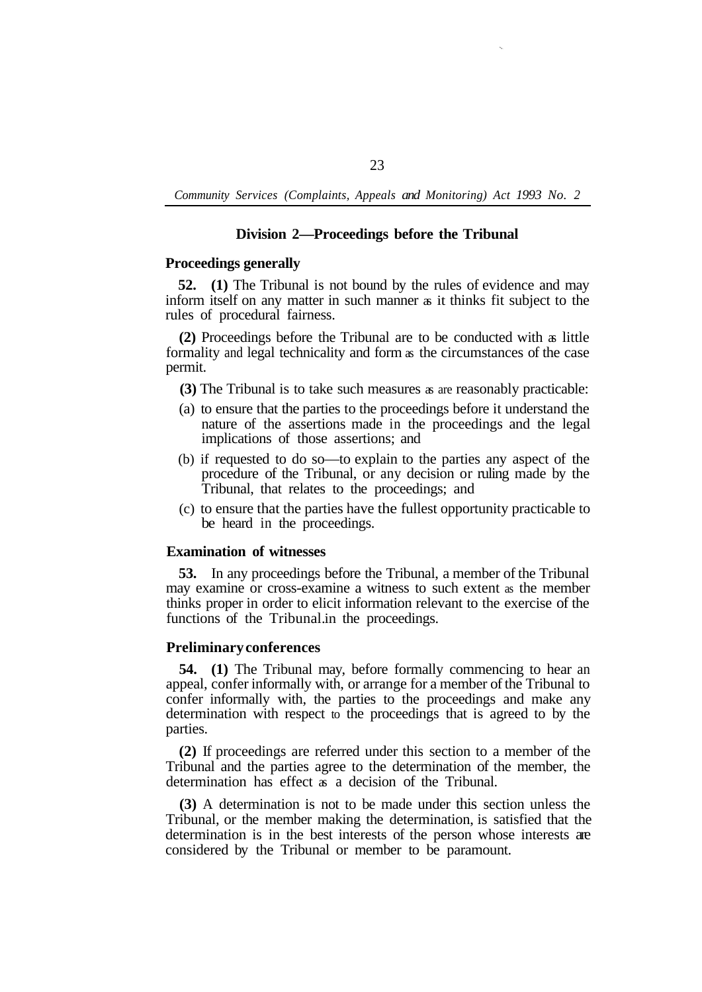# **Division 2—Proceedings before the Tribunal**

## **Proceedings generally**

**52. (1)** The Tribunal is not bound by the rules of evidence and may inform itself on any matter in such manner as it thinks fit subject to the rules of procedural fairness.

**(2)** Proceedings before the Tribunal are to be conducted with as little formality and legal technicality and form as the circumstances of the case permit.

**(3)** The Tribunal is to take such measures as are reasonably practicable:

- (a) to ensure that the parties to the proceedings before it understand the nature of the assertions made in the proceedings and the legal implications of those assertions; and
- (b) if requested to do so—to explain to the parties any aspect of the procedure of the Tribunal, or any decision or ruling made by the Tribunal, that relates to the proceedings; and
- (c) to ensure that the parties have the fullest opportunity practicable to be heard in the proceedings.

# **Examination of witnesses**

**53.** In any proceedings before the Tribunal, a member of the Tribunal may examine or cross-examine a witness to such extent as the member thinks proper in order to elicit information relevant to the exercise of the functions of the Tribunal. in the proceedings.

#### **Preliminary conferences**

**54. (1)** The Tribunal may, before formally commencing to hear an appeal, confer informally with, or arrange for a member of the Tribunal to confer informally with, the parties to the proceedings and make any determination with respect to the proceedings that is agreed to by the parties.

**(2)** If proceedings are referred under this section to a member of the Tribunal and the parties agree to the determination of the member, the determination has effect as a decision of the Tribunal.

**(3)** A determination is not to be made under this section unless the Tribunal, or the member making the determination, is satisfied that the determination is in the best interests of the person whose interests are considered by the Tribunal or member to be paramount.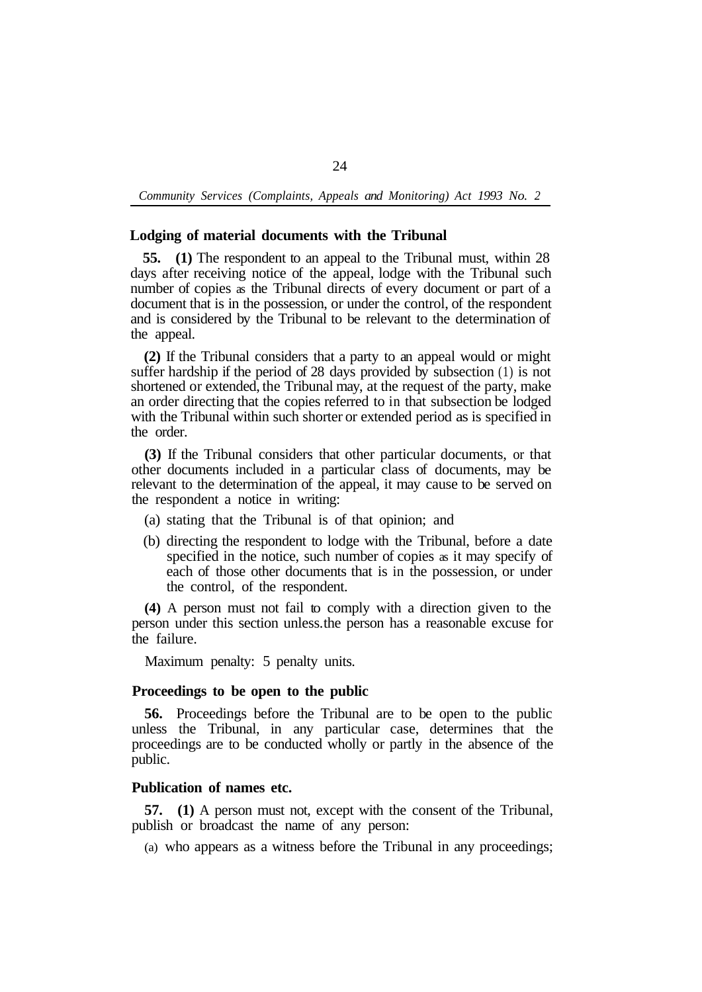### **Lodging of material documents with the Tribunal**

**55. (1)** The respondent to an appeal to the Tribunal must, within 28 days after receiving notice of the appeal, lodge with the Tribunal such number of copies as the Tribunal directs of every document or part of a document that is in the possession, or under the control, of the respondent and is considered by the Tribunal to be relevant to the determination of the appeal.

**(2)** If the Tribunal considers that a party to an appeal would or might suffer hardship if the period of 28 days provided by subsection (1) is not shortened or extended, the Tribunal may, at the request of the party, make an order directing that the copies referred to in that subsection be lodged with the Tribunal within such shorter or extended period as is specified in the order.

**(3)** If the Tribunal considers that other particular documents, or that other documents included in a particular class of documents, may be relevant to the determination of the appeal, it may cause to be served on the respondent a notice in writing:

- (a) stating that the Tribunal is of that opinion; and
- (b) directing the respondent to lodge with the Tribunal, before a date specified in the notice, such number of copies as it may specify of each of those other documents that is in the possession, or under the control, of the respondent.

**(4)** A person must not fail to comply with a direction given to the person under this section unless. the person has a reasonable excuse for the failure.

Maximum penalty: 5 penalty units.

# **Proceedings to be open to the public**

**56.** Proceedings before the Tribunal are to be open to the public unless the Tribunal, in any particular case, determines that the proceedings are to be conducted wholly or partly in the absence of the public.

#### **Publication of names etc.**

**57. (1)** A person must not, except with the consent of the Tribunal, publish or broadcast the name of any person:

(a) who appears as a witness before the Tribunal in any proceedings;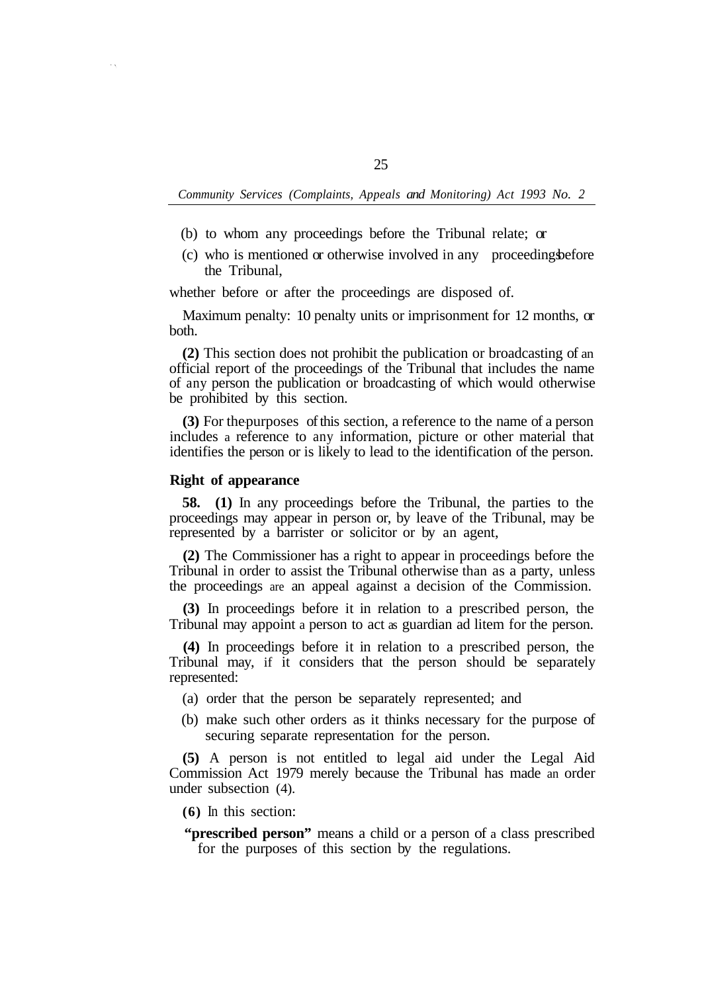- (b) to whom any proceedings before the Tribunal relate; or
- (c) who is mentioned or otherwise involved in any proceedingsbefore the Tribunal,

whether before or after the proceedings are disposed of.

both. Maximum penalty: 10 penalty units or imprisonment for 12 months, or

**(2)** This section does not prohibit the publication or broadcasting of an official report of the proceedings of the Tribunal that includes the name of any person the publication or broadcasting of which would otherwise be prohibited by this section.

**(3)** For the purposes of this section, a reference to the name of a person includes a reference to any information, picture or other material that identifies the person or is likely to lead to the identification of the person.

# **Right of appearance**

**58. (1)** In any proceedings before the Tribunal, the parties to the proceedings may appear in person or, by leave of the Tribunal, may be represented by a barrister or solicitor or by an agent,

**(2)** The Commissioner has a right to appear in proceedings before the Tribunal in order to assist the Tribunal otherwise than as a party, unless the proceedings are an appeal against a decision of the Commission.

**(3)** In proceedings before it in relation to a prescribed person, the Tribunal may appoint a person to act as guardian ad litem for the person.

**(4)** In proceedings before it in relation to a prescribed person, the Tribunal may, if it considers that the person should be separately represented:

- (a) order that the person be separately represented; and
- (b) make such other orders as it thinks necessary for the purpose of securing separate representation for the person.

**(5)** A person is not entitled to legal aid under the Legal Aid Commission Act 1979 merely because the Tribunal has made an order under subsection (4).

**(6)** In this section:

"prescribed person" means a child or a person of a class prescribed for the purposes of this section by the regulations.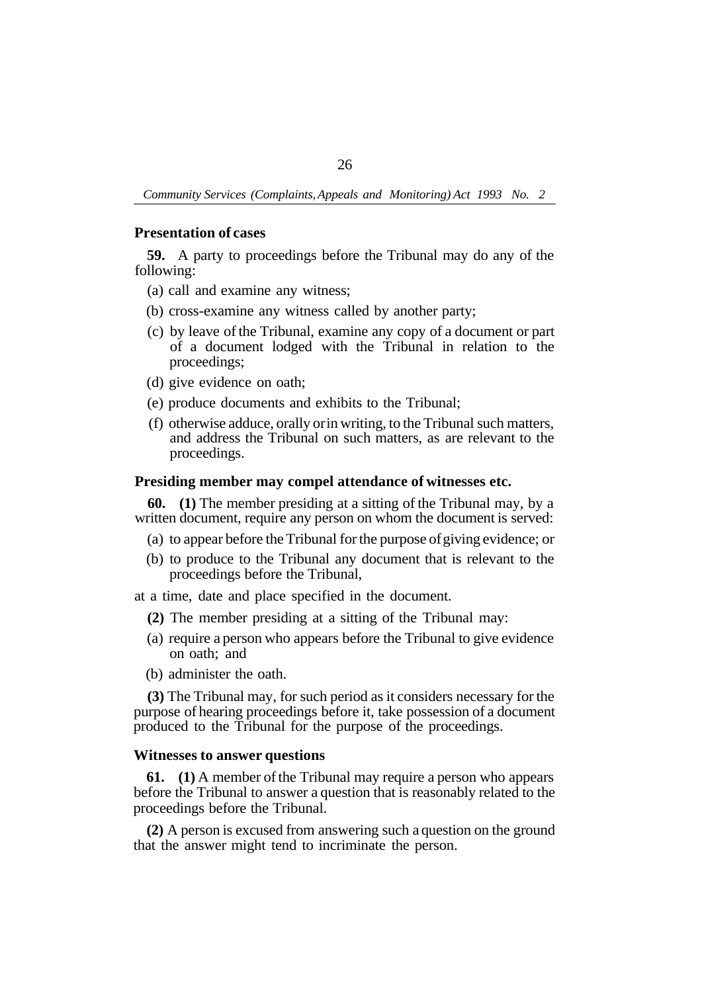### **Presentation of cases**

**59.** A party to proceedings before the Tribunal may do any of the following:

- (a) call and examine any witness;
- (b) cross-examine any witness called by another party;
- (c) by leave of the Tribunal, examine any copy of a document or part of a document lodged with the Tribunal in relation to the proceedings;
- (d) give evidence on oath;
- (e) produce documents and exhibits to the Tribunal;
- (f) otherwise adduce, orally or in writing, to the Tribunal such matters, and address the Tribunal on such matters, as are relevant to the proceedings.

## **Presiding member may compel attendance of witnesses etc.**

**60. (1)** The member presiding at a sitting of the Tribunal may, by a written document, require any person on whom the document is served:

- (a) to appear before the Tribunal for the purpose of giving evidence; or
- (b) to produce to the Tribunal any document that is relevant to the proceedings before the Tribunal,

at a time, date and place specified in the document.

- **(2)** The member presiding at a sitting of the Tribunal may:
- (a) require a person who appears before the Tribunal to give evidence on oath; and
- (b) administer the oath.

**(3)** The Tribunal may, for such period as it considers necessary for the purpose of hearing proceedings before it, take possession of a document produced to the Tribunal for the purpose of the proceedings.

# **Witnesses to answer questions**

**61. (1)** A member of the Tribunal may require a person who appears before the Tribunal to answer a question that is reasonably related to the proceedings before the Tribunal.

**(2)** A person is excused from answering such a question on the ground that the answer might tend to incriminate the person.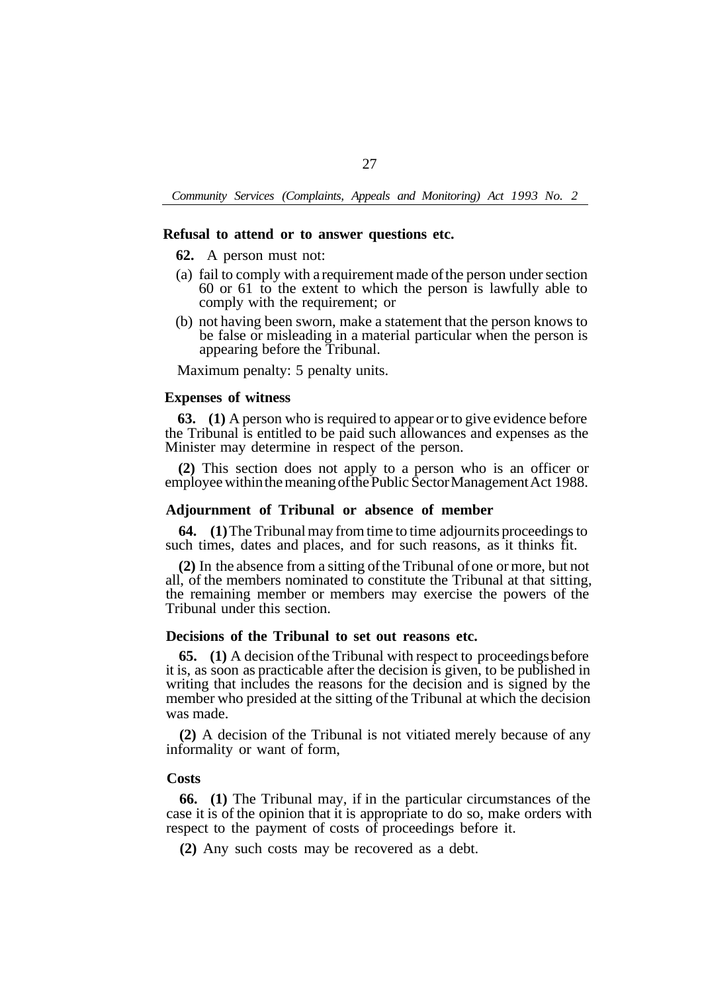#### **Refusal to attend or to answer questions etc.**

- **62.** A person must not:
- (a) fail to comply with a requirement made of the person under section 60 or 61 to the extent to which the person is lawfully able to comply with the requirement; or
- (b) not having been sworn, make a statement that the person knows to be false or misleading in a material particular when the person is appearing before the Tribunal.

Maximum penalty: 5 penalty units.

#### **Expenses of witness**

**63. (1)** A person who is required to appear or to give evidence before the Tribunal is entitled to be paid such allowances and expenses as the Minister may determine in respect of the person.

**(2)** This section does not apply to a person who is an officer or employee within the meaning of the Public Sector Management Act 1988.

### **Adjournment of Tribunal or absence of member**

**64.** (1) The Tribunal may from time to time adjournits proceedings to such times, dates and places, and for such reasons, as it thinks fit.

**(2)** In the absence from a sitting of the Tribunal of one or more, but not all, of the members nominated to constitute the Tribunal at that sitting, the remaining member or members may exercise the powers of the Tribunal under this section.

# **Decisions of the Tribunal to set out reasons etc.**

**65. (1)** A decision of the Tribunal with respect to proceedings before it is, as soon as practicable after the decision is given, to be published in writing that includes the reasons for the decision and is signed by the member who presided at the sitting of the Tribunal at which the decision was made.

**(2)** A decision of the Tribunal is not vitiated merely because of any informality or want of form,

## **Costs**

**66. (1)** The Tribunal may, if in the particular circumstances of the case it is of the opinion that it is appropriate to do so, make orders with respect to the payment of costs of proceedings before it.

**(2)** Any such costs may be recovered as a debt.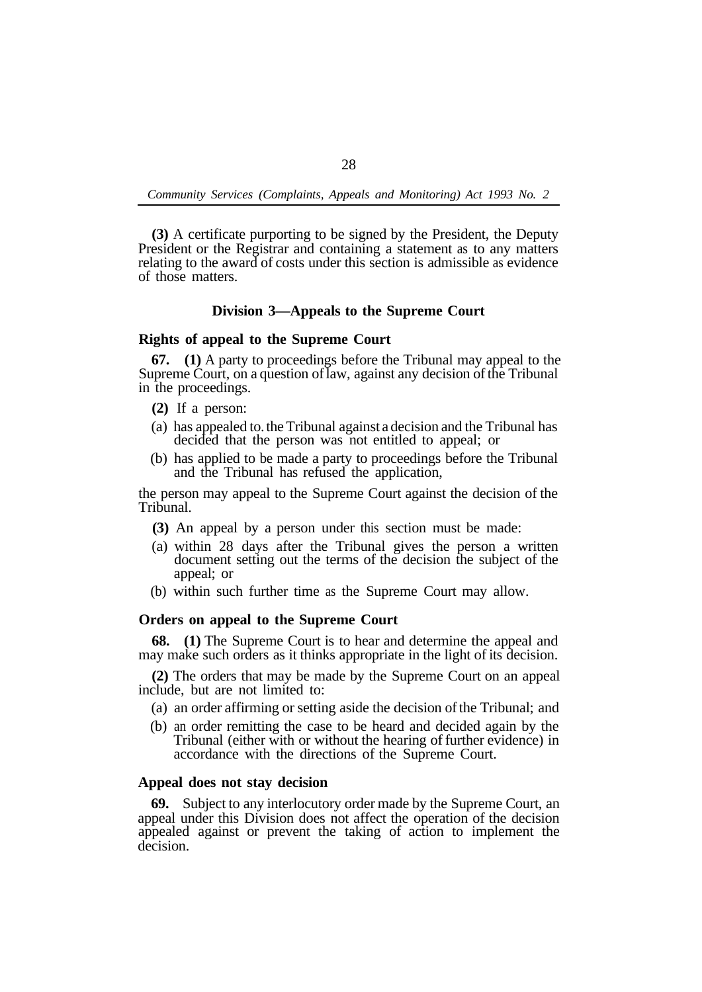**(3)** A certificate purporting to be signed by the President, the Deputy President or the Registrar and containing a statement as to any matters relating to the award of costs under this section is admissible as evidence of those matters.

## **Division 3—Appeals to the Supreme Court**

#### **Rights of appeal to the Supreme Court**

**67. (1)** A party to proceedings before the Tribunal may appeal to the Supreme Court, on a question of law, against any decision of the Tribunal in the proceedings.

- **(2)** If a person:
- (a) has appealed to. the Tribunal against a decision and the Tribunal has decided that the person was not entitled to appeal; or
- (b) has applied to be made a party to proceedings before the Tribunal and the Tribunal has refused the application,

the person may appeal to the Supreme Court against the decision of the Tribunal.

- **(3)** An appeal by a person under this section must be made:
- (a) within 28 days after the Tribunal gives the person a written document setting out the terms of the decision the subject of the appeal; or
- (b) within such further time as the Supreme Court may allow.

### **Orders on appeal to the Supreme Court**

**68. (1)** The Supreme Court is to hear and determine the appeal and may make such orders as it thinks appropriate in the light of its decision.

**(2)** The orders that may be made by the Supreme Court on an appeal include, but are not limited to:

- (a) an order affirming or setting aside the decision of the Tribunal; and
- (b) an order remitting the case to be heard and decided again by the Tribunal (either with or without the hearing of further evidence) in accordance with the directions of the Supreme Court.

#### **Appeal does not stay decision**

**69.** Subject to any interlocutory order made by the Supreme Court, an appeal under this Division does not affect the operation of the decision appealed against or prevent the taking of action to implement the decision.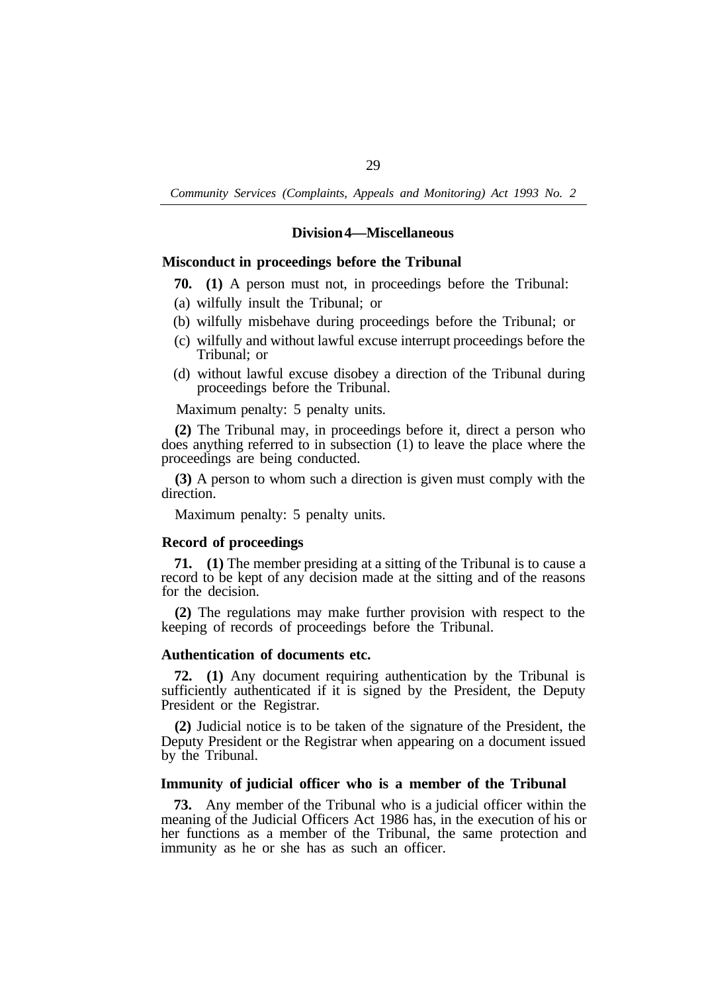### **Division 4—Miscellaneous**

### **Misconduct in proceedings before the Tribunal**

- **70. (1)** A person must not, in proceedings before the Tribunal:
- (a) wilfully insult the Tribunal; or
- (b) wilfully misbehave during proceedings before the Tribunal; or
- (c) wilfully and without lawful excuse interrupt proceedings before the Tribunal; or
- (d) without lawful excuse disobey a direction of the Tribunal during proceedings before the Tribunal.

Maximum penalty: 5 penalty units.

**(2)** The Tribunal may, in proceedings before it, direct a person who does anything referred to in subsection (1) to leave the place where the proceedings are being conducted.

**(3)** A person to whom such a direction is given must comply with the direction.

Maximum penalty: 5 penalty units.

#### **Record of proceedings**

**71. (1)** The member presiding at a sitting of the Tribunal is to cause a record to be kept of any decision made at the sitting and of the reasons for the decision.

**(2)** The regulations may make further provision with respect to the keeping of records of proceedings before the Tribunal.

## **Authentication of documents etc.**

**72. (1)** Any document requiring authentication by the Tribunal is sufficiently authenticated if it is signed by the President, the Deputy President or the Registrar.

**(2)** Judicial notice is to be taken of the signature of the President, the Deputy President or the Registrar when appearing on a document issued by the Tribunal.

## **Immunity of judicial officer who is a member of the Tribunal**

**73.** Any member of the Tribunal who is a judicial officer within the meaning of the Judicial Officers Act 1986 has, in the execution of his or her functions as a member of the Tribunal, the same protection and immunity as he or she has as such an officer.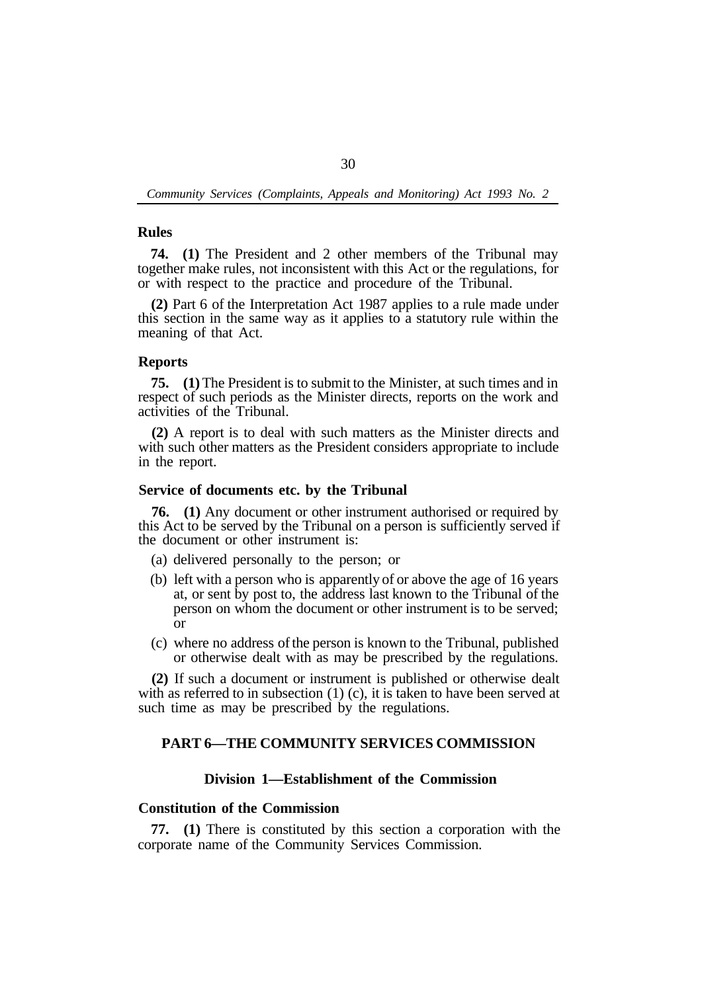### **Rules**

**74. (1)** The President and 2 other members of the Tribunal may together make rules, not inconsistent with this Act or the regulations, for or with respect to the practice and procedure of the Tribunal.

**(2)** Part 6 of the Interpretation Act 1987 applies to a rule made under this section in the same way as it applies to a statutory rule within the meaning of that Act.

#### **Reports**

**75. (1)**The President is to submit to the Minister, at such times and in respect of such periods as the Minister directs, reports on the work and activities of the Tribunal.

**(2)** A report is to deal with such matters as the Minister directs and with such other matters as the President considers appropriate to include in the report.

### **Service of documents etc. by the Tribunal**

**76. (1)** Any document or other instrument authorised or required by this Act to be served by the Tribunal on a person is sufficiently served if the document or other instrument is:

- (a) delivered personally to the person; or
- (b) left with a person who is apparently of or above the age of 16 years at, or sent by post to, the address last known to the Tribunal of the person on whom the document or other instrument is to be served; or
- (c) where no address of the person is known to the Tribunal, published or otherwise dealt with as may be prescribed by the regulations.

**(2)** If such a document or instrument is published or otherwise dealt with as referred to in subsection (1) (c), it is taken to have been served at such time as may be prescribed by the regulations.

# **PART 6—THE COMMUNITY SERVICES COMMISSION**

# **Division 1—Establishment of the Commission**

# **Constitution of the Commission**

**77. (1)** There is constituted by this section a corporation with the corporate name of the Community Services Commission.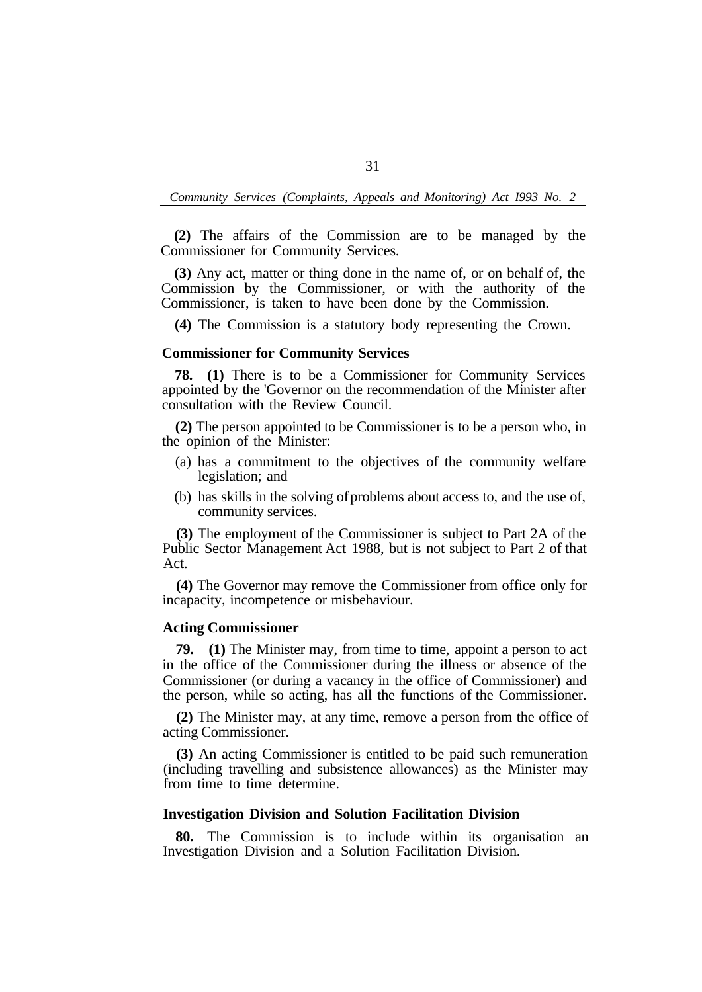**(2)** The affairs of the Commission are to be managed by the Commissioner for Community Services.

**(3)** Any act, matter or thing done in the name of, or on behalf of, the Commission by the Commissioner, or with the authority of the Commissioner, is taken to have been done by the Commission.

**(4)** The Commission is a statutory body representing the Crown.

#### **Commissioner for Community Services**

**78. (1)** There is to be a Commissioner for Community Services appointed by the 'Governor on the recommendation of the Minister after consultation with the Review Council.

**(2)** The person appointed to be Commissioner is to be a person who, in the opinion of the Minister:

- (a) has a commitment to the objectives of the community welfare legislation; and
- (b) has skills in the solving of problems about access to, and the use of, community services.

**(3)** The employment of the Commissioner is subject to Part 2A of the Public Sector Management Act 1988, but is not subject to Part 2 of that Act.

**(4)** The Governor may remove the Commissioner from office only for incapacity, incompetence or misbehaviour.

## **Acting Commissioner**

**79. (1)** The Minister may, from time to time, appoint a person to act in the office of the Commissioner during the illness or absence of the Commissioner (or during a vacancy in the office of Commissioner) and the person, while so acting, has all the functions of the Commissioner.

**(2)** The Minister may, at any time, remove a person from the office of acting Commissioner.

**(3)** An acting Commissioner is entitled to be paid such remuneration (including travelling and subsistence allowances) as the Minister may from time to time determine.

## **Investigation Division and Solution Facilitation Division**

**80.** The Commission is to include within its organisation an Investigation Division and a Solution Facilitation Division.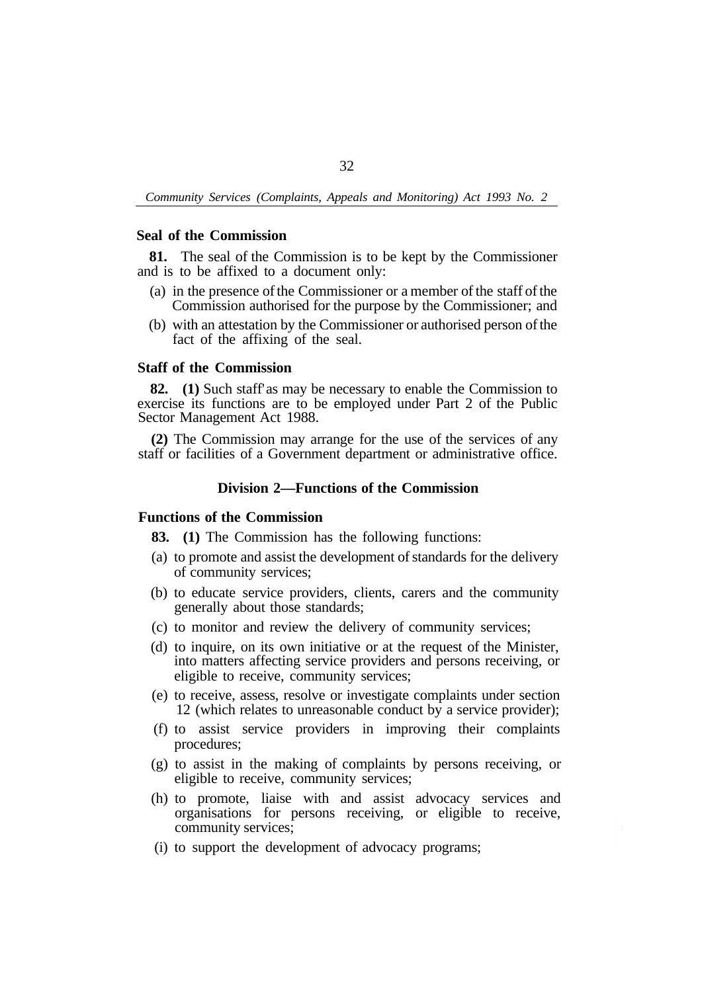### **Seal of the Commission**

**81.** The seal of the Commission is to be kept by the Commissioner and is to be affixed to a document only:

- (a) in the presence of the Commissioner or a member of the staff of the Commission authorised for the purpose by the Commissioner; and
- (b) with an attestation by the Commissioner or authorised person of the fact of the affixing of the seal.

# **Staff of the Commission**

**82. (1)** Such staff' as may be necessary to enable the Commission to exercise its functions are to be employed under Part 2 of the Public Sector Management Act 1988.

**(2)** The Commission may arrange for the use of the services of any staff or facilities of a Government department or administrative office.

# **Division 2—Functions of the Commission**

## **Functions of the Commission**

**83. (1)** The Commission has the following functions:

- (a) to promote and assist the development of standards for the delivery of community services;
- (b) to educate service providers, clients, carers and the community generally about those standards;
- (c) to monitor and review the delivery of community services;
- (d) to inquire, on its own initiative or at the request of the Minister, into matters affecting service providers and persons receiving, or eligible to receive, community services;
- (e) to receive, assess, resolve or investigate complaints under section 12 (which relates to unreasonable conduct by a service provider);
- (f) to assist service providers in improving their complaints procedures;
- (g) to assist in the making of complaints by persons receiving, or eligible to receive, community services;
- (h) to promote, liaise with and assist advocacy services and organisations for persons receiving, or eligible to receive, community services;
- (i) to support the development of advocacy programs;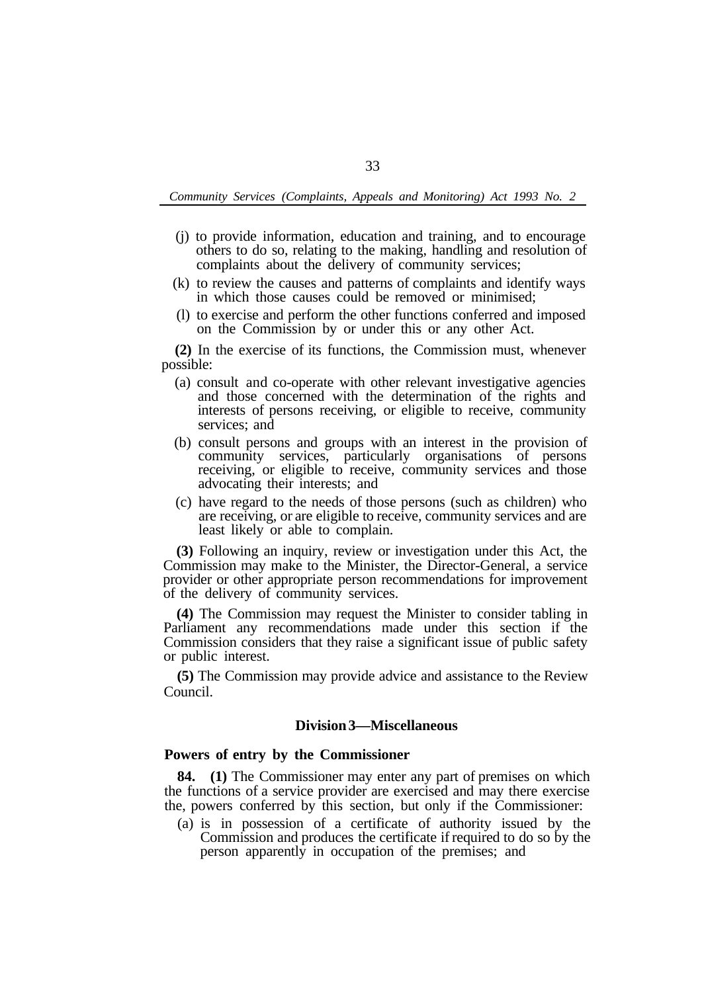- (j) to provide information, education and training, and to encourage others to do so, relating to the making, handling and resolution of complaints about the delivery of community services;
- (k) to review the causes and patterns of complaints and identify ways in which those causes could be removed or minimised;
- (l) to exercise and perform the other functions conferred and imposed on the Commission by or under this or any other Act.

**(2)** In the exercise of its functions, the Commission must, whenever possible:

- (a) consult and co-operate with other relevant investigative agencies and those concerned with the determination of the rights and interests of persons receiving, or eligible to receive, community services; and
- (b) consult persons and groups with an interest in the provision of community services, particularly organisations of persons receiving, or eligible to receive, community services and those advocating their interests; and
- (c) have regard to the needs of those persons (such as children) who are receiving, or are eligible to receive, community services and are least likely or able to complain.

**(3)** Following an inquiry, review or investigation under this Act, the Commission may make to the Minister, the Director-General, a service provider or other appropriate person recommendations for improvement of the delivery of community services.

**(4)** The Commission may request the Minister to consider tabling in Parliament any recommendations made under this section if the Commission considers that they raise a significant issue of public safety or public interest.

**(5)** The Commission may provide advice and assistance to the Review Council.

# **Division 3—Miscellaneous**

# **Powers of entry by the Commissioner**

**84. (1)** The Commissioner may enter any part of premises on which the functions of a service provider are exercised and may there exercise the, powers conferred by this section, but only if the Commissioner:

(a) is in possession of a certificate of authority issued by the Commission and produces the certificate if required to do so by the person apparently in occupation of the premises; and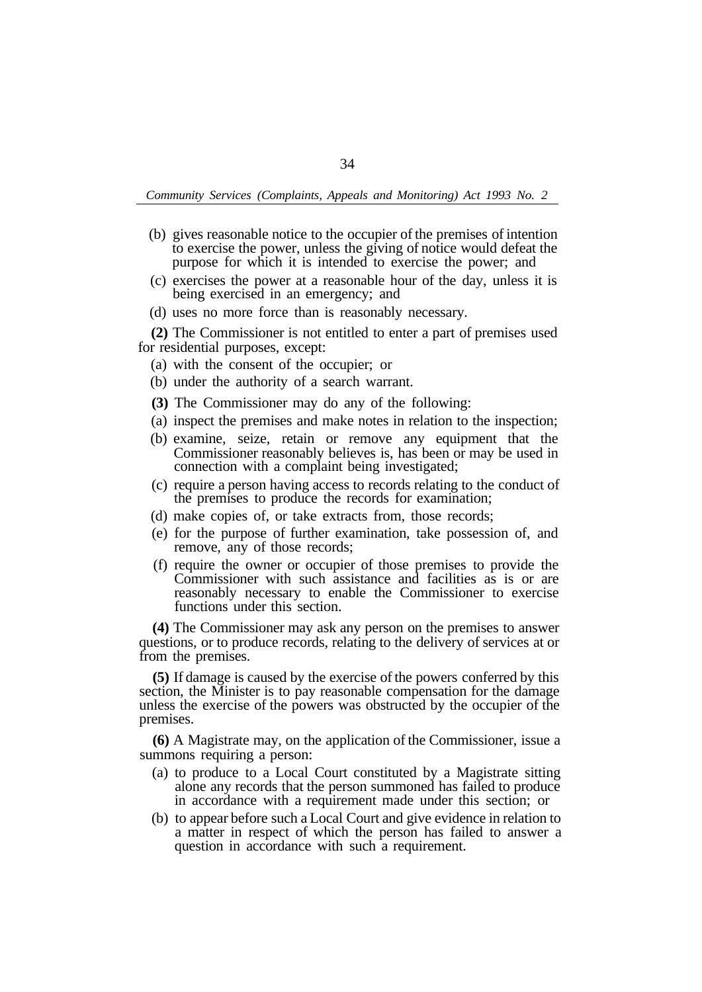- (b) gives reasonable notice to the occupier of the premises of intention to exercise the power, unless the giving of notice would defeat the purpose for which it is intended to exercise the power; and
- (c) exercises the power at a reasonable hour of the day, unless it is being exercised in an emergency; and
- (d) uses no more force than is reasonably necessary.
- **(2)** The Commissioner is not entitled to enter a part of premises used for residential purposes, except:
	- (a) with the consent of the occupier; or
	- (b) under the authority of a search warrant.
	- **(3)** The Commissioner may do any of the following:
	- (a) inspect the premises and make notes in relation to the inspection;
	- (b) examine, seize, retain or remove any equipment that the Commissioner reasonably believes is, has been or may be used in connection with a complaint being investigated;
	- (c) require a person having access to records relating to the conduct of the premises to produce the records for examination;
	- (d) make copies of, or take extracts from, those records;
	- (e) for the purpose of further examination, take possession of, and remove, any of those records;
	- (f) require the owner or occupier of those premises to provide the Commissioner with such assistance and facilities as is or are reasonably necessary to enable the Commissioner to exercise functions under this section.

**(4)** The Commissioner may ask any person on the premises to answer questions, or to produce records, relating to the delivery of services at or from the premises.

**(5)** If damage is caused by the exercise of the powers conferred by this section, the Minister is to pay reasonable compensation for the damage unless the exercise of the powers was obstructed by the occupier of the premises.

**(6)** A Magistrate may, on the application of the Commissioner, issue a summons requiring a person:

- (a) to produce to a Local Court constituted by a Magistrate sitting alone any records that the person summoned has failed to produce in accordance with a requirement made under this section; or
- (b) to appear before such a Local Court and give evidence in relation to a matter in respect of which the person has failed to answer a question in accordance with such a requirement.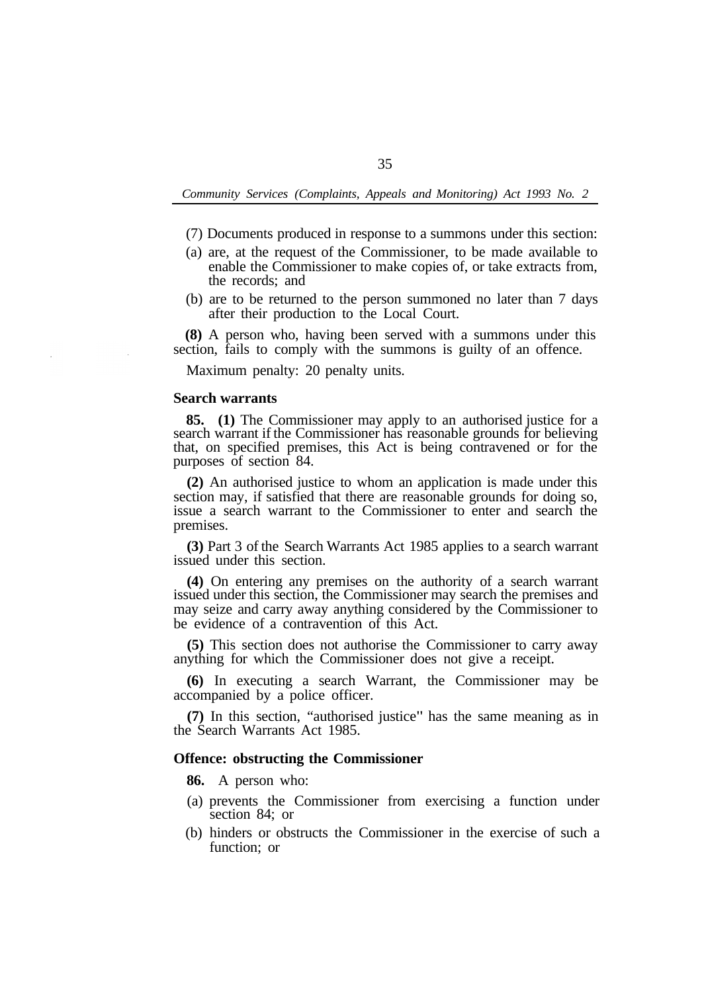- (7) Documents produced in response to a summons under this section:
- (a) are, at the request of the Commissioner, to be made available to enable the Commissioner to make copies of, or take extracts from, the records; and
- (b) are to be returned to the person summoned no later than 7 days after their production to the Local Court.

**(8)** A person who, having been served with a summons under this section, fails to comply with the summons is guilty of an offence.

Maximum penalty: 20 penalty units.

#### **Search warrants**

**85. (1)** The Commissioner may apply to an authorised justice for a search warrant if the Commissioner has reasonable grounds for believing that, on specified premises, this Act is being contravened or for the purposes of section 84.

**(2)** An authorised justice to whom an application is made under this section may, if satisfied that there are reasonable grounds for doing so, issue a search warrant to the Commissioner to enter and search the premises.

**(3)** Part 3 of the Search Warrants Act 1985 applies to a search warrant issued under this section.

**(4)** On entering any premises on the authority of a search warrant issued under this section, the Commissioner may search the premises and may seize and carry away anything considered by the Commissioner to be evidence of a contravention of this Act.

**(5)** This section does not authorise the Commissioner to carry away anything for which the Commissioner does not give a receipt.

**(6)** In executing a search Warrant, the Commissioner may be accompanied by a police officer.

**(7)** In this section, "authorised justice" has the same meaning as in the Search Warrants Act 1985.

#### **Offence: obstructing the Commissioner**

**86.** A person who:

- (a) prevents the Commissioner from exercising a function under section 84; or
- (b) hinders or obstructs the Commissioner in the exercise of such a function; or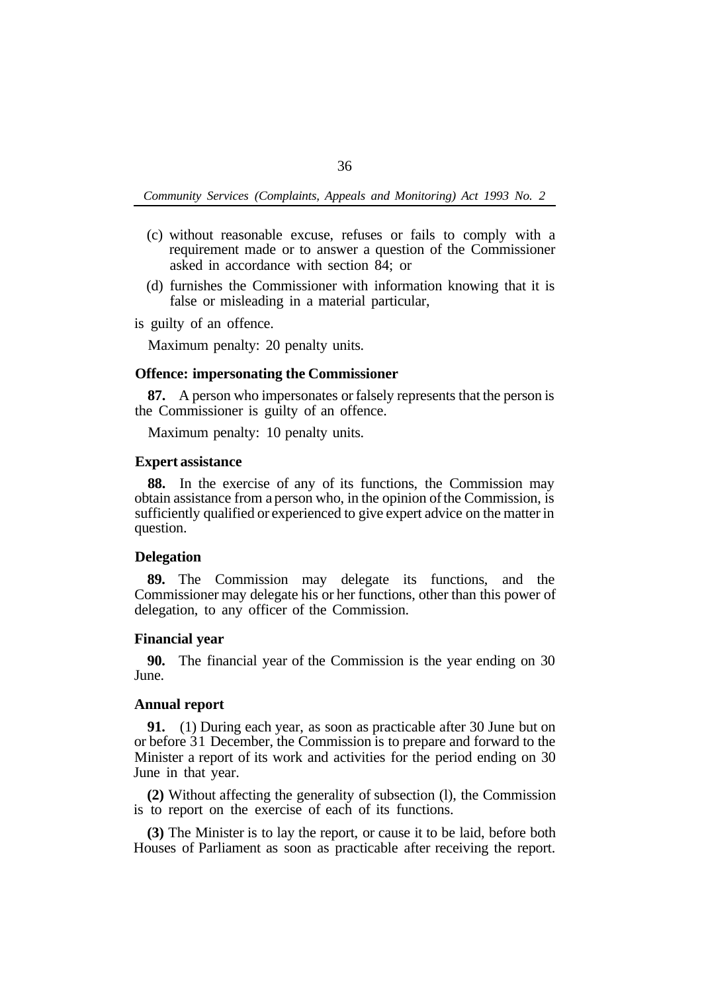- (c) without reasonable excuse, refuses or fails to comply with a requirement made or to answer a question of the Commissioner asked in accordance with section 84; or
- (d) furnishes the Commissioner with information knowing that it is false or misleading in a material particular,

is guilty of an offence.

Maximum penalty: 20 penalty units.

## **Offence: impersonating the Commissioner**

**87.** A person who impersonates or falsely represents that the person is the Commissioner is guilty of an offence.

Maximum penalty: 10 penalty units.

## **Expert assistance**

**88.** In the exercise of any of its functions, the Commission may obtain assistance from a person who, in the opinion of the Commission, is sufficiently qualified or experienced to give expert advice on the matter in question.

## **Delegation**

**89.** The Commission may delegate its functions, and the Commissioner may delegate his or her functions, other than this power of delegation, to any officer of the Commission.

## **Financial year**

June. **90.** The financial year of the Commission is the year ending on 30

## **Annual report**

**91.** (1) During each year, as soon as practicable after 30 June but on or before 31 December, the Commission is to prepare and forward to the Minister a report of its work and activities for the period ending on 30 June in that year.

**(2)** Without affecting the generality of subsection (l), the Commission is to report on the exercise of each of its functions.

**(3)** The Minister is to lay the report, or cause it to be laid, before both Houses of Parliament as soon as practicable after receiving the report.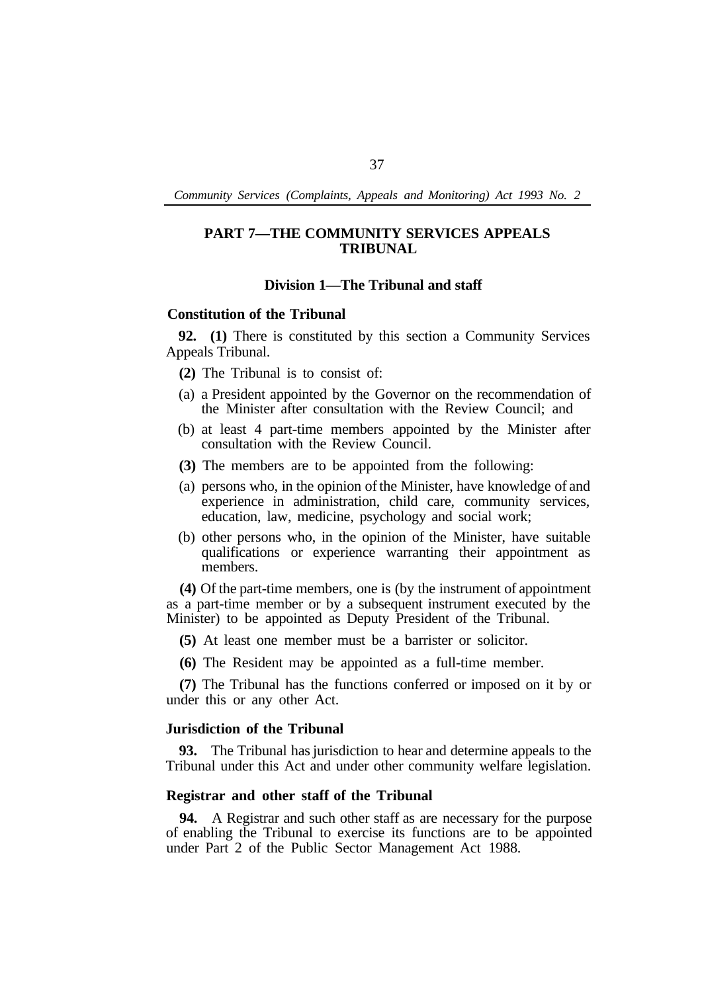# **PART 7—THE COMMUNITY SERVICES APPEALS TRIBUNAL**

## **Division 1—The Tribunal and staff**

#### **Constitution of the Tribunal**

**92. (1)** There is constituted by this section a Community Services Appeals Tribunal.

- **(2)** The Tribunal is to consist of:
- (a) a President appointed by the Governor on the recommendation of the Minister after consultation with the Review Council; and
- (b) at least 4 part-time members appointed by the Minister after consultation with the Review Council.
- **(3)** The members are to be appointed from the following:
- (a) persons who, in the opinion of the Minister, have knowledge of and experience in administration, child care, community services, education, law, medicine, psychology and social work;
- (b) other persons who, in the opinion of the Minister, have suitable qualifications or experience warranting their appointment as members.

**(4)** Of the part-time members, one is (by the instrument of appointment as a part-time member or by a subsequent instrument executed by the Minister) to be appointed as Deputy President of the Tribunal.

- **(5)** At least one member must be a barrister or solicitor.
- **(6)** The Resident may be appointed as a full-time member.

**(7)** The Tribunal has the functions conferred or imposed on it by or under this or any other Act.

# **Jurisdiction of the Tribunal**

**93.** The Tribunal has jurisdiction to hear and determine appeals to the Tribunal under this Act and under other community welfare legislation.

# **Registrar and other staff of the Tribunal**

**94.** A Registrar and such other staff as are necessary for the purpose of enabling the Tribunal to exercise its functions are to be appointed under Part 2 of the Public Sector Management Act 1988.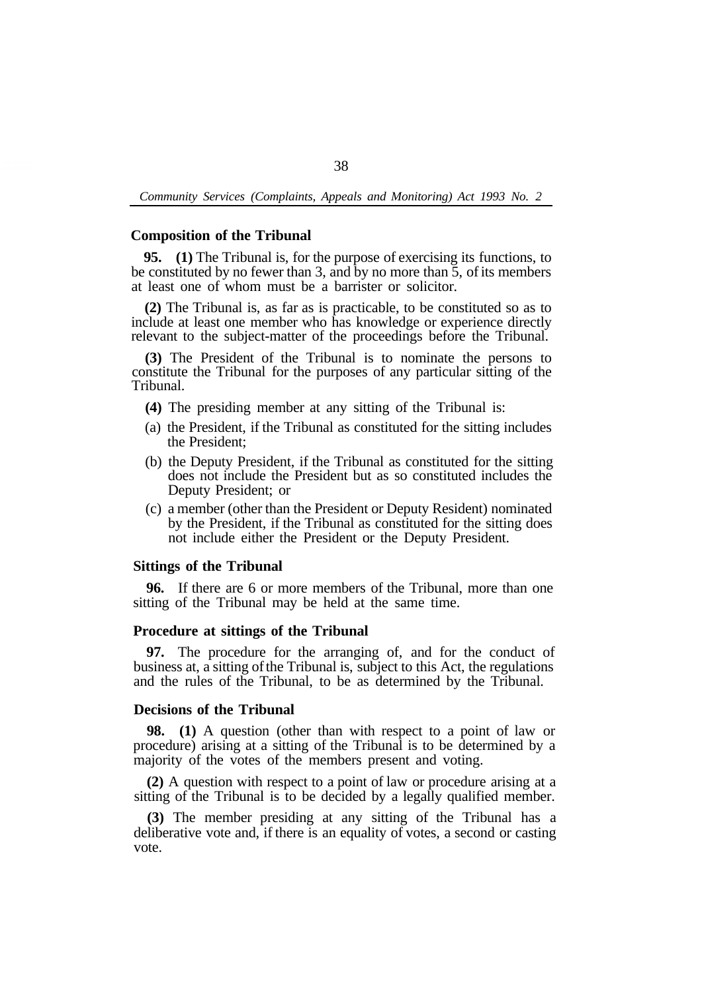### **Composition of the Tribunal**

**95. (1)** The Tribunal is, for the purpose of exercising its functions, to be constituted by no fewer than 3, and by no more than 5, of its members at least one of whom must be a barrister or solicitor.

**(2)** The Tribunal is, as far as is practicable, to be constituted so as to include at least one member who has knowledge or experience directly relevant to the subject-matter of the proceedings before the Tribunal.

**(3)** The President of the Tribunal is to nominate the persons to constitute the Tribunal for the purposes of any particular sitting of the Tribunal.

- **(4)** The presiding member at any sitting of the Tribunal is:
- (a) the President, if the Tribunal as constituted for the sitting includes the President;
- (b) the Deputy President, if the Tribunal as constituted for the sitting does not include the President but as so constituted includes the Deputy President; or
- (c) a member (other than the President or Deputy Resident) nominated by the President, if the Tribunal as constituted for the sitting does not include either the President or the Deputy President.

## **Sittings of the Tribunal**

**96.** If there are 6 or more members of the Tribunal, more than one sitting of the Tribunal may be held at the same time.

#### **Procedure at sittings of the Tribunal**

**97.** The procedure for the arranging of, and for the conduct of business at, a sitting of the Tribunal is, subject to this Act, the regulations and the rules of the Tribunal, to be as determined by the Tribunal.

### **Decisions of the Tribunal**

**98. (1)** A question (other than with respect to a point of law or procedure) arising at a sitting of the Tribunal is to be determined by a majority of the votes of the members present and voting.

**(2)** A question with respect to a point of law or procedure arising at a sitting of the Tribunal is to be decided by a legally qualified member.

**(3)** The member presiding at any sitting of the Tribunal has a deliberative vote and, if there is an equality of votes, a second or casting vote.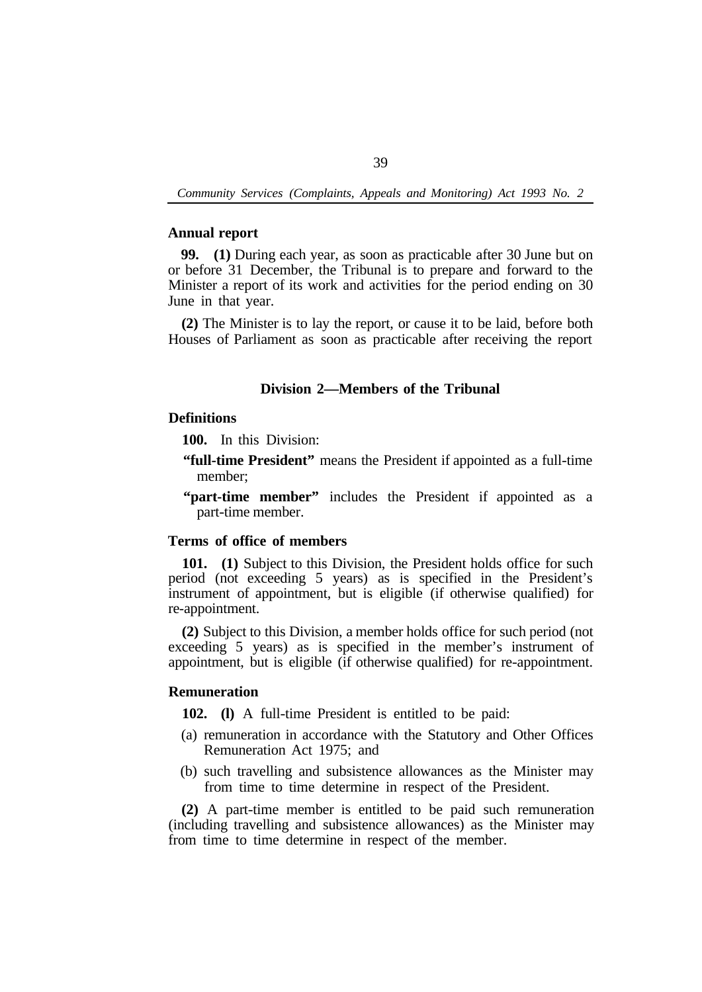### **Annual report**

**99. (1)** During each year, as soon as practicable after 30 June but on or before 31 December, the Tribunal is to prepare and forward to the Minister a report of its work and activities for the period ending on 30 June in that year.

**(2)** The Minister is to lay the report, or cause it to be laid, before both Houses of Parliament as soon as practicable after receiving the report

## **Division 2—Members of the Tribunal**

# **Definitions**

**100.** In this Division:

- **"full-time President"** means the President if appointed as a full-time member;
- **"part-time member"** includes the President if appointed as a part-time member.

# **Terms of office of members**

**101. (1)** Subject to this Division, the President holds office for such period (not exceeding 5 years) as is specified in the President's instrument of appointment, but is eligible (if otherwise qualified) for re-appointment.

**(2)** Subject to this Division, a member holds office for such period (not exceeding 5 years) as is specified in the member's instrument of appointment, but is eligible (if otherwise qualified) for re-appointment.

## **Remuneration**

**102. (l)** A full-time President is entitled to be paid:

- (a) remuneration in accordance with the Statutory and Other Offices Remuneration Act 1975; and
- (b) such travelling and subsistence allowances as the Minister may from time to time determine in respect of the President.

**(2)** A part-time member is entitled to be paid such remuneration (including travelling and subsistence allowances) as the Minister may from time to time determine in respect of the member.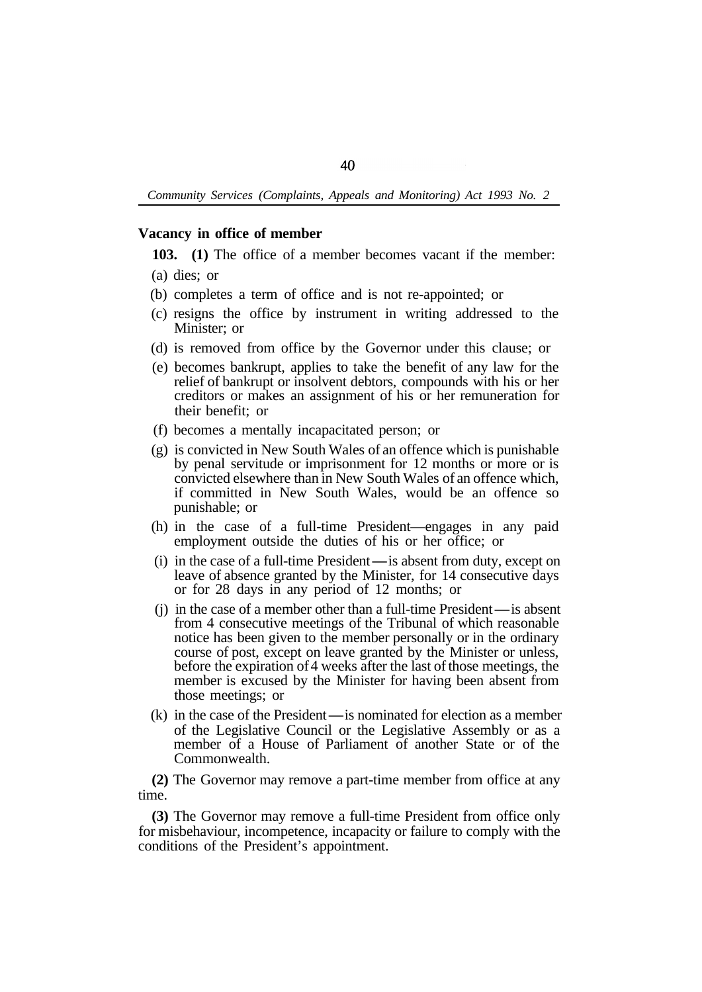### **Vacancy in office of member**

**103. (1)** The office of a member becomes vacant if the member:

- (b) completes a term of office and is not re-appointed; or
- (c) resigns the office by instrument in writing addressed to the Minister; or
- (d) is removed from office by the Governor under this clause; or
- (e) becomes bankrupt, applies to take the benefit of any law for the relief of bankrupt or insolvent debtors, compounds with his or her creditors or makes an assignment of his or her remuneration for their benefit; or
- (f) becomes a mentally incapacitated person; or
- (g) is convicted in New South Wales of an offence which is punishable by penal servitude or imprisonment for 12 months or more or is convicted elsewhere than in New South Wales of an offence which, if committed in New South Wales, would be an offence so punishable; or
- (h) in the case of a full-time President—engages in any paid employment outside the duties of his or her office; or
- $(i)$  in the case of a full-time President—is absent from duty, except on leave of absence granted by the Minister, for 14 consecutive days<br>
or for 28 days in any period of 12 months; or<br>
(j) in the case of a member other than a full-time President—is absent<br>
from 4 consecutive meetings of the T or for 28 days in any period of 12 months; or
- from 4 consecutive meetings of the Tribunal of which reasonable notice has been given to the member personally or in the ordinary course of post, except on leave granted by the Minister or unless, before the expiration of 4 weeks after the last of those meetings, the member is excused by the Minister for having been absent from those meetings; or
- $(k)$  in the case of the President $-$  is nominated for election as a member of the Legislative Council or the Legislative Assembly or as a member of a House of Parliament of another State or of the Commonwealth.

**(2)** The Governor may remove a part-time member from office at any time.

**(3)** The Governor may remove a full-time President from office only for misbehaviour, incompetence, incapacity or failure to comply with the conditions of the President's appointment.

<sup>(</sup>a) dies; or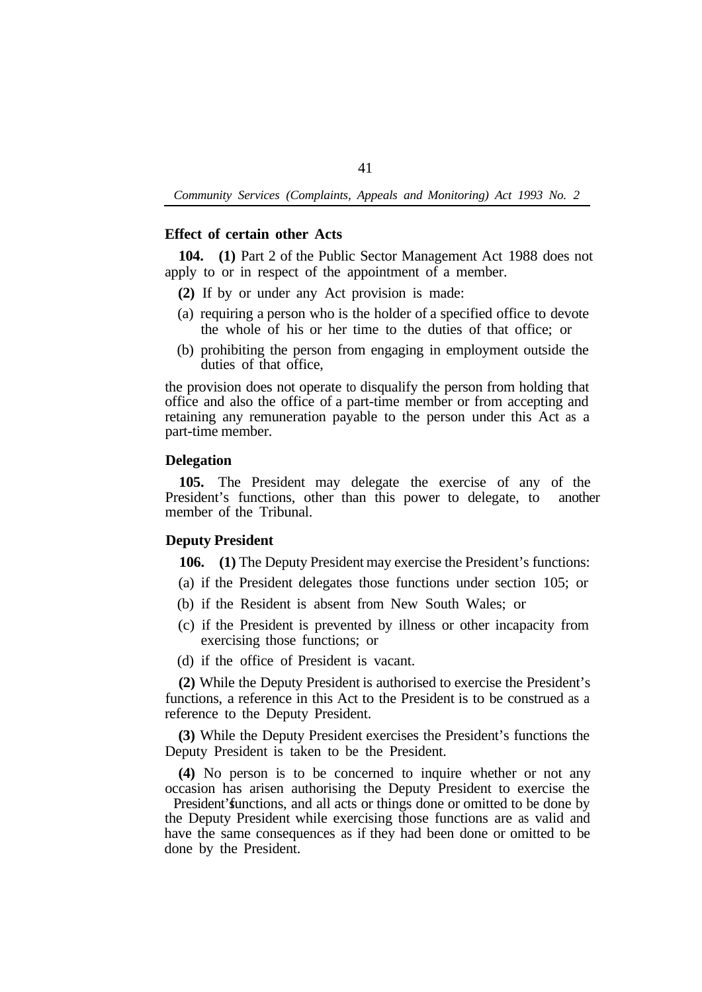# **Effect of certain other Acts**

**104. (1)** Part 2 of the Public Sector Management Act 1988 does not apply to or in respect of the appointment of a member.

- **(2)** If by or under any Act provision is made:
- (a) requiring a person who is the holder of a specified office to devote the whole of his or her time to the duties of that office; or
- (b) prohibiting the person from engaging in employment outside the duties of that office,

the provision does not operate to disqualify the person from holding that office and also the office of a part-time member or from accepting and retaining any remuneration payable to the person under this Act as a part-time member.

# **Delegation**

**105.** The President may delegate the exercise of any of the President's functions, other than this power to delegate, to another member of the Tribunal.

# **Deputy President**

**106. (1)** The Deputy President may exercise the President's functions:

- (a) if the President delegates those functions under section 105; or
- (b) if the Resident is absent from New South Wales; or
- (c) if the President is prevented by illness or other incapacity from exercising those functions; or
- (d) if the office of President is vacant.

**(2)** While the Deputy President is authorised to exercise the President's functions, a reference in this Act to the President is to be construed as a reference to the Deputy President.

**(3)** While the Deputy President exercises the President's functions the Deputy President is taken to be the President.

**(4)** No person is to be concerned to inquire whether or not any occasion has arisen authorising the Deputy President to exercise the

President' functions, and all acts or things done or omitted to be done by the Deputy President while exercising those functions are as valid and have the same consequences as if they had been done or omitted to be done by the President.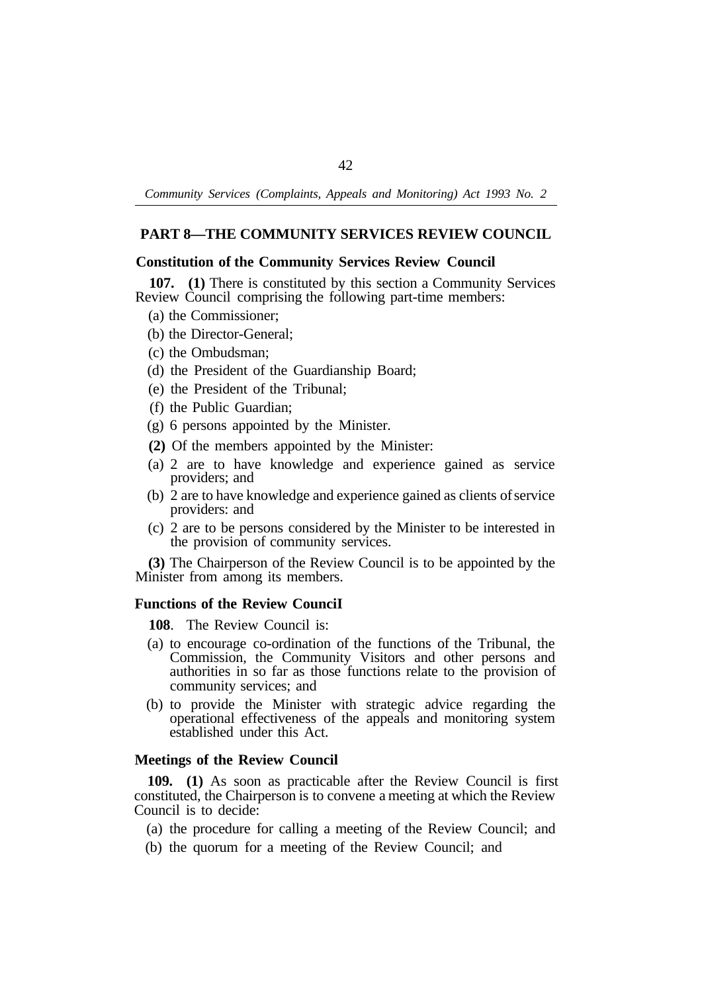# **PART 8—THE COMMUNITY SERVICES REVIEW COUNCIL**

## **Constitution of the Community Services Review Council**

Review Council comprising the following part-time members: **107. (1)** There is constituted by this section a Community Services

- (a) the Commissioner;
- (b) the Director-General;
- (c) the Ombudsman;
- (d) the President of the Guardianship Board;
- (e) the President of the Tribunal;
- (f) the Public Guardian;
- (g) 6 persons appointed by the Minister.
- **(2)** Of the members appointed by the Minister:
- (a) 2 are to have knowledge and experience gained as service providers; and
- (b) 2 are to have knowledge and experience gained as clients of service providers: and
- (c) 2 are to be persons considered by the Minister to be interested in the provision of community services.

**(3)** The Chairperson of the Review Council is to be appointed by the Minister from among its members.

## **Functions of the Review CounciI**

**108**. The Review Council is:

- (a) to encourage co-ordination of the functions of the Tribunal, the Commission, the Community Visitors and other persons and authorities in so far as those functions relate to the provision of community services; and
- (b) to provide the Minister with strategic advice regarding the operational effectiveness of the appeals and monitoring system established under this Act.

#### **Meetings of the Review Council**

**109. (1)** As soon as practicable after the Review Council is first constituted, the Chairperson is to convene a meeting at which the Review Council is to decide:

- (a) the procedure for calling a meeting of the Review Council; and
- (b) the quorum for a meeting of the Review Council; and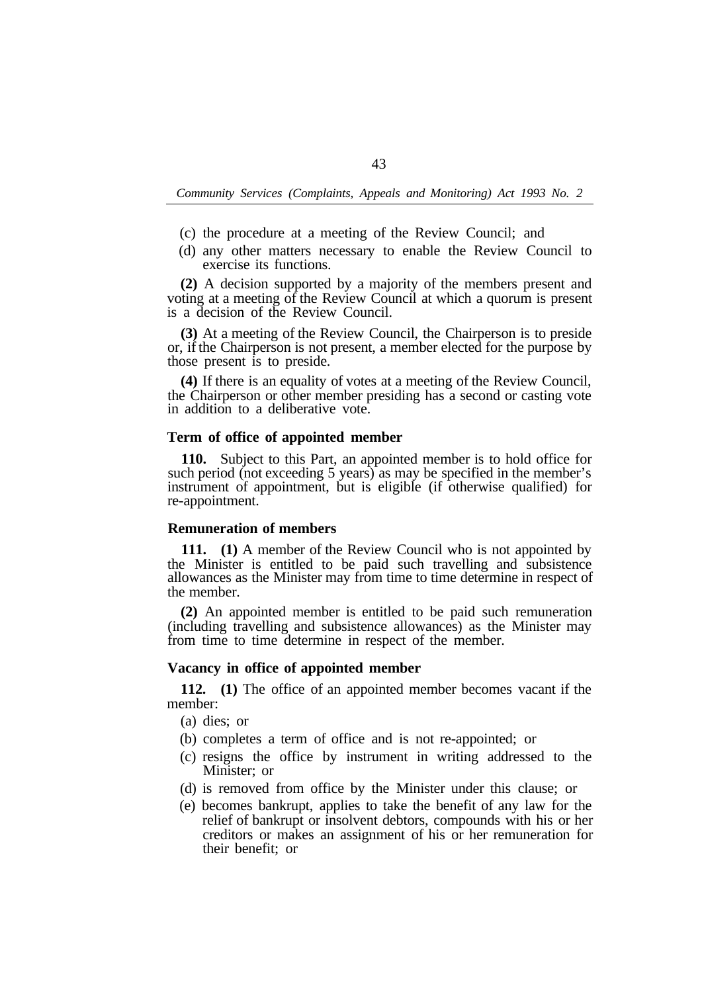- (c) the procedure at a meeting of the Review Council; and
- (d) any other matters necessary to enable the Review Council to exercise its functions.

**(2)** A decision supported by a majority of the members present and voting at a meeting of the Review Council at which a quorum is present is a decision of the Review Council.

**(3)** At a meeting of the Review Council, the Chairperson is to preside or, if the Chairperson is not present, a member elected for the purpose by those present is to preside.

**(4)** If there is an equality of votes at a meeting of the Review Council, the Chairperson or other member presiding has a second or casting vote in addition to a deliberative vote.

## **Term of office of appointed member**

**110.** Subject to this Part, an appointed member is to hold office for such period (not exceeding 5 years) as may be specified in the member's instrument of appointment, but is eligible (if otherwise qualified) for re-appointment.

#### **Remuneration of members**

**111. (1)** A member of the Review Council who is not appointed by the Minister is entitled to be paid such travelling and subsistence allowances as the Minister may from time to time determine in respect of the member.

**(2)** An appointed member is entitled to be paid such remuneration (including travelling and subsistence allowances) as the Minister may from time to time determine in respect of the member.

#### **Vacancy in office of appointed member**

member: **112. (1)** The office of an appointed member becomes vacant if the

- (a) dies; or
- (b) completes a term of office and is not re-appointed; or
- (c) resigns the office by instrument in writing addressed to the Minister; or
- (d) is removed from office by the Minister under this clause; or
- (e) becomes bankrupt, applies to take the benefit of any law for the relief of bankrupt or insolvent debtors, compounds with his or her creditors or makes an assignment of his or her remuneration for their benefit; or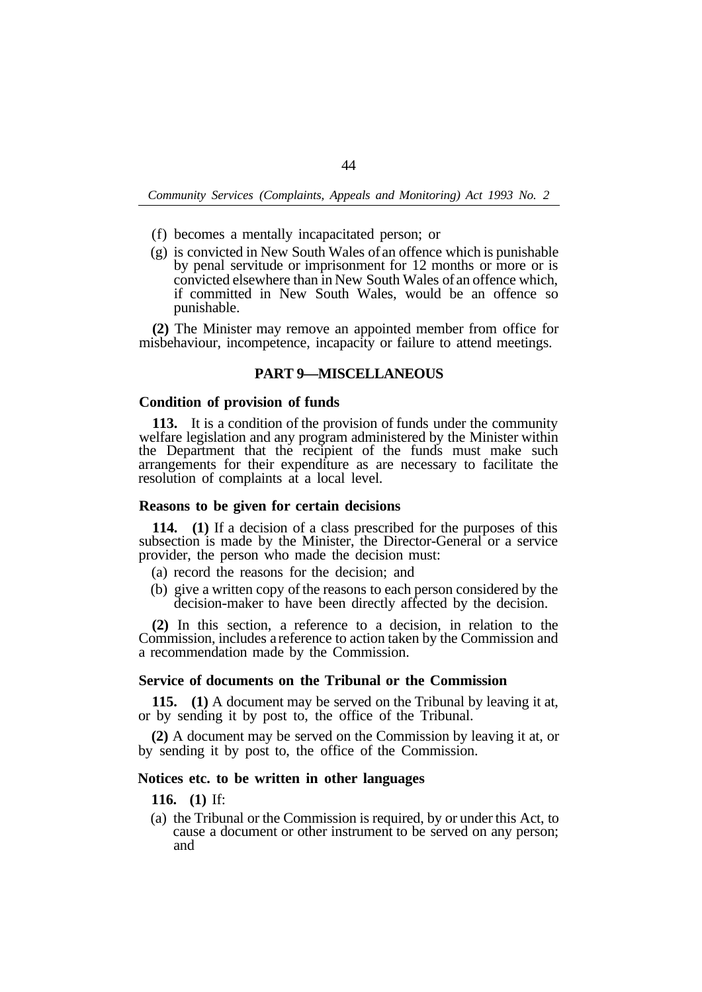- (f) becomes a mentally incapacitated person; or
- (g) is convicted in New South Wales of an offence which is punishable by penal servitude or imprisonment for 12 months or more or is convicted elsewhere than in New South Wales of an offence which, if committed in New South Wales, would be an offence so punishable.

**(2)** The Minister may remove an appointed member from office for misbehaviour, incompetence, incapacity or failure to attend meetings.

#### **PART 9—MISCELLANEOUS**

#### **Condition of provision of funds**

**113.** It is a condition of the provision of funds under the community welfare legislation and any program administered by the Minister within the Department that the recipient of the funds must make such arrangements for their expenditure as are necessary to facilitate the resolution of complaints at a local level.

#### **Reasons to be given for certain decisions**

**114. (1)** If a decision of a class prescribed for the purposes of this subsection is made by the Minister, the Director-General or a service provider, the person who made the decision must:

- (a) record the reasons for the decision; and
- (b) give a written copy of the reasons to each person considered by the decision-maker to have been directly affected by the decision.

**(2)** In this section, a reference to a decision, in relation to the Commission, includes a reference to action taken by the Commission and a recommendation made by the Commission.

#### **Service of documents on the Tribunal or the Commission**

**115. (1)** A document may be served on the Tribunal by leaving it at, or by sending it by post to, the office of the Tribunal.

**(2)** A document may be served on the Commission by leaving it at, or by sending it by post to, the office of the Commission.

# **Notices etc. to be written in other languages**

**116. (1)** If:

(a) the Tribunal or the Commission is required, by or under this Act, to cause a document or other instrument to be served on any person; and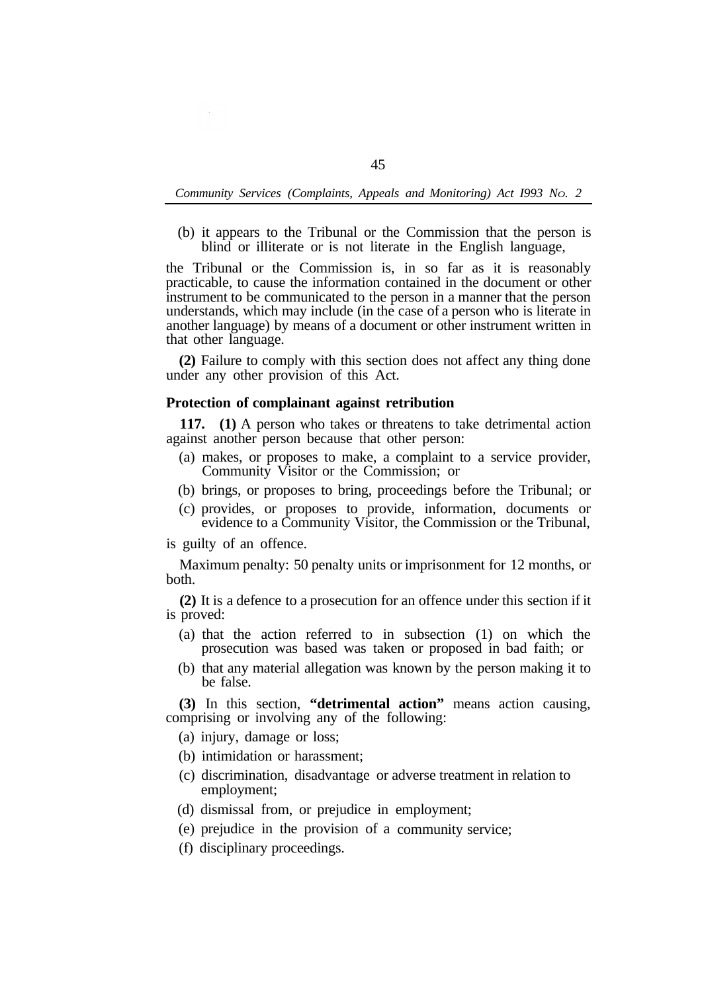(b) it appears to the Tribunal or the Commission that the person is blind or illiterate or is not literate in the English language,

the Tribunal or the Commission is, in so far as it is reasonably practicable, to cause the information contained in the document or other instrument to be communicated to the person in a manner that the person understands, which may include (in the case of a person who is literate in another language) by means of a document or other instrument written in that other language.

**(2)** Failure to comply with this section does not affect any thing done under any other provision of this Act.

#### **Protection of complainant against retribution**

against another person because that other person: **117. (1)** A person who takes or threatens to take detrimental action

- Community Visitor or the Commission; or (a) makes, or proposes to make, a complaint to a service provider,
- (b) brings, or proposes to bring, proceedings before the Tribunal; or
- (c) provides, or proposes to provide, information, documents or evidence to a Community Visitor, the Commission or the Tribunal,

is guilty of an offence.

both. Maximum penalty: 50 penalty units or imprisonment for 12 months, or

is proved: **(2)** It is a defence to a prosecution for an offence under this section if it

- (a) that the action referred to in subsection (1) on which the prosecution was based was taken or proposed in bad faith; or
- (b) that any material allegation was known by the person making it to be false.

**(3)** In this section, **"detrimental action"** means action causing, comprising or involving any of the following:

(a) injury, damage or loss;

- (b) intimidation or harassment;
- (c) discrimination, disadvantage or adverse treatment in relation to employment;
- (d) dismissal from, or prejudice in employment;
- (e) prejudice in the provision of a community service;
- (f) disciplinary proceedings.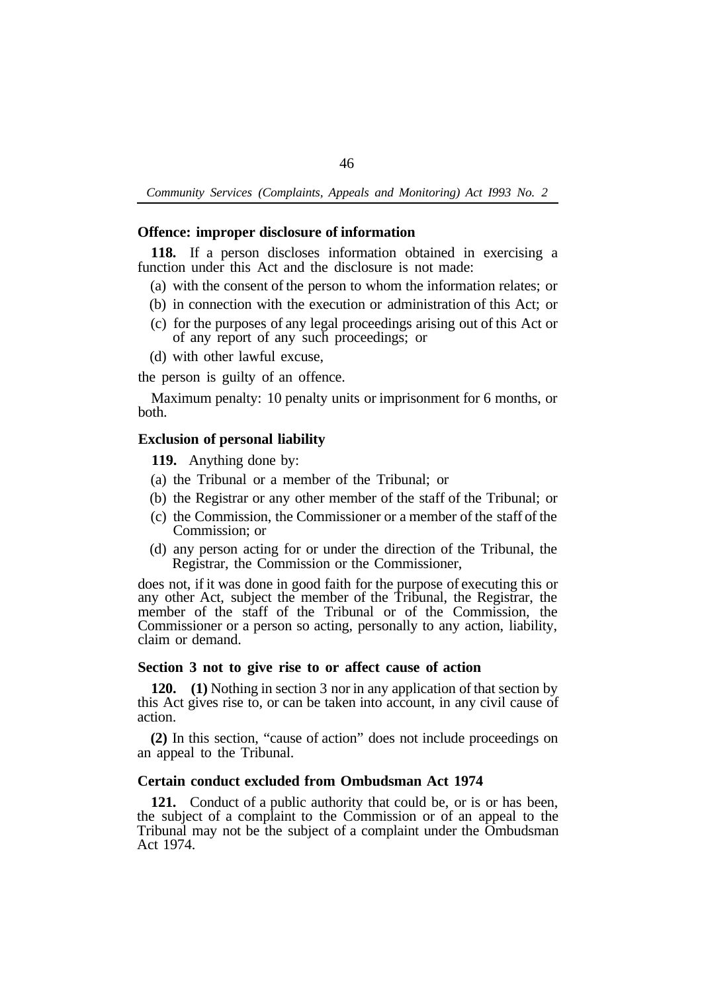## **Offence: improper disclosure of information**

function under this Act and the disclosure is not made: **118.** If a person discloses information obtained in exercising a

- (a) with the consent of the person to whom the information relates; or
- (b) in connection with the execution or administration of this Act; or
- (c) for the purposes of any legal proceedings arising out of this Act or of any report of any such proceedings; or
- (d) with other lawful excuse,

the person is guilty of an offence.

both. Maximum penalty: 10 penalty units or imprisonment for 6 months, or

### **Exclusion of personal liability**

**119.** Anything done by:

- (a) the Tribunal or a member of the Tribunal; or
- (b) the Registrar or any other member of the staff of the Tribunal; or
- (c) the Commission, the Commissioner or a member of the staff of the Commission; or
- (d) any person acting for or under the direction of the Tribunal, the Registrar, the Commission or the Commissioner,

does not, if it was done in good faith for the purpose of executing this or any other Act, subject the member of the Tribunal, the Registrar, the member of the staff of the Tribunal or of the Commission, the Commissioner or a person so acting, personally to any action, liability, claim or demand.

## **Section 3 not to give rise to or affect cause of action**

**120. (1)** Nothing in section 3 nor in any application of that section by this Act gives rise to, or can be taken into account, in any civil cause of action.

**(2)** In this section, "cause of action" does not include proceedings on an appeal to the Tribunal.

# **Certain conduct excluded from Ombudsman Act 1974**

**121.** Conduct of a public authority that could be, or is or has been, the subject of a complaint to the Commission or of an appeal to the Tribunal may not be the subject of a complaint under the Ombudsman Act 1974.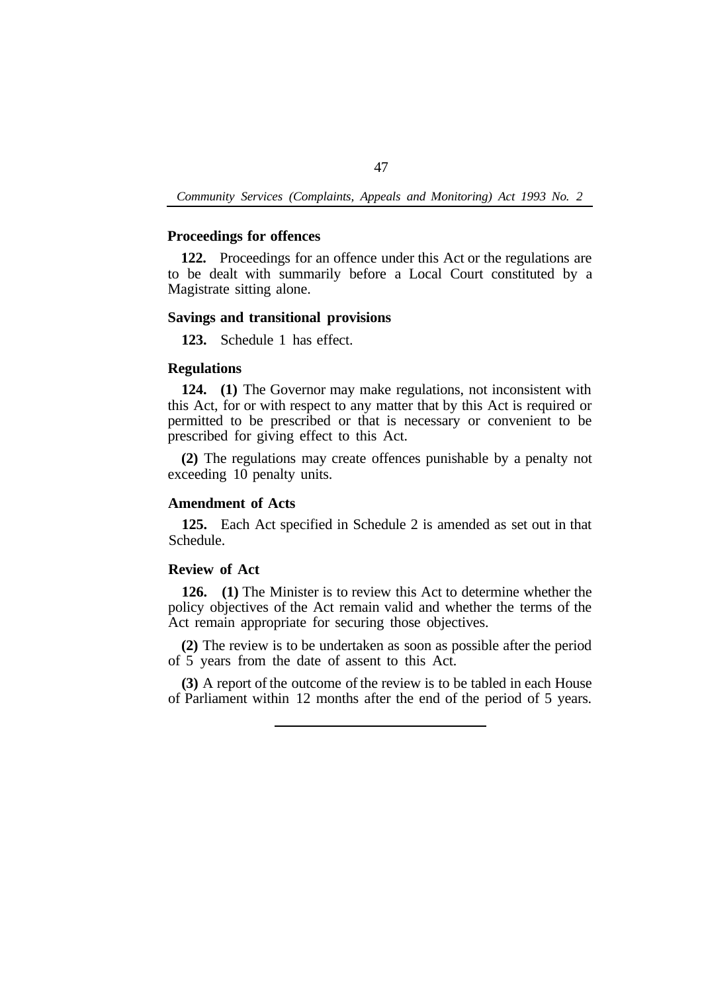# **Proceedings for offences**

**122.** Proceedings for an offence under this Act or the regulations are to be dealt with summarily before a Local Court constituted by a Magistrate sitting alone.

# **Savings and transitional provisions**

**123.** Schedule 1 has effect.

# **Regulations**

**124. (1)** The Governor may make regulations, not inconsistent with this Act, for or with respect to any matter that by this Act is required or permitted to be prescribed or that is necessary or convenient to be prescribed for giving effect to this Act.

**(2)** The regulations may create offences punishable by a penalty not exceeding 10 penalty units.

# **Amendment of Acts**

**125.** Each Act specified in Schedule 2 is amended as set out in that Schedule.

## **Review of Act**

**126. (1)** The Minister is to review this Act to determine whether the policy objectives of the Act remain valid and whether the terms of the Act remain appropriate for securing those objectives.

**(2)** The review is to be undertaken as soon as possible after the period of 5 years from the date of assent to this Act.

**(3)** A report of the outcome of the review is to be tabled in each House of Parliament within 12 months after the end of the period of 5 years.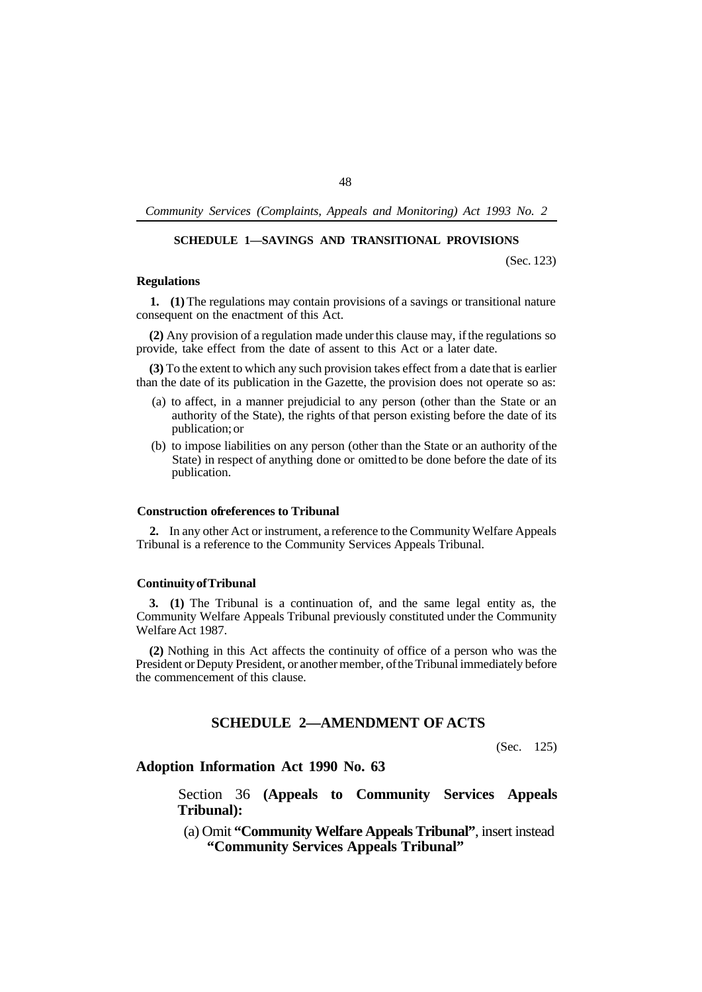# **SCHEDULE 1—SAVINGS AND TRANSITIONAL PROVISIONS**

(Sec. 123)

# **Regulations**

**1. (1)** The regulations may contain provisions of a savings or transitional nature consequent on the enactment of this Act.

**(2)** Any provision of a regulation made under this clause may, if the regulations so provide, take effect from the date of assent to this Act or a later date.

**(3)** To the extent to which any such provision takes effect from a date that is earlier than the date of its publication in the Gazette, the provision does not operate so as:

- (a) to affect, in a manner prejudicial to any person (other than the State or an authority of the State), the rights of that person existing before the date of its publication; or
- (b) to impose liabilities on any person (other than the State or an authority of the State) in respect of anything done or omitted to be done before the date of its publication.

# **Construction of references to Tribunal**

**2.** In any other Act or instrument, a reference to the Community Welfare Appeals Tribunal is a reference to the Community Services Appeals Tribunal.

## **Continuity of Tribunal**

**3. (1)** The Tribunal is a continuation of, and the same legal entity as, the Community Welfare Appeals Tribunal previously constituted under the Community Welfare Act 1987.

**(2)** Nothing in this Act affects the continuity of office of a person who was the President or Deputy President, or another member, of the Tribunal immediately before the commencement of this clause.

# **SCHEDULE 2—AMENDMENT OF ACTS**

(Sec. 125)

# **Adoption Information Act 1990 No. 63**

Section 36 **(Appeals to Community Services Appeals Tribunal):** 

(a) Omit **"Community Welfare Appeals Tribunal"**, insert instead **"Community Services Appeals Tribunal"** .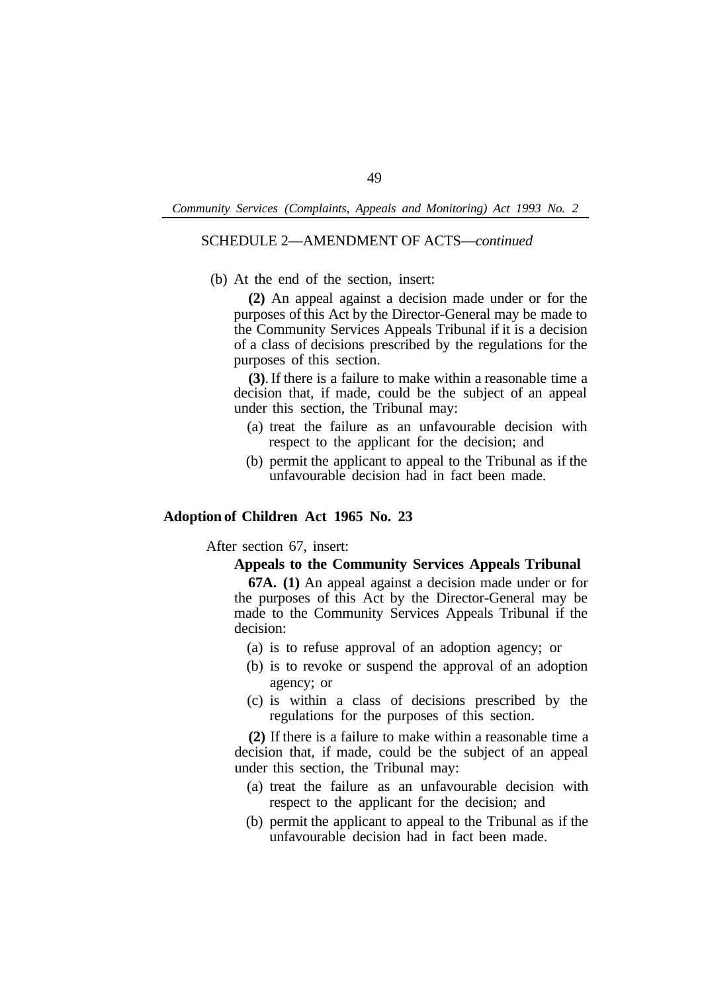# SCHEDULE 2—AMENDMENT OF ACTS—*continued*

(b) At the end of the section, insert:

**(2)** An appeal against a decision made under or for the purposes of this Act by the Director-General may be made to the Community Services Appeals Tribunal if it is a decision of a class of decisions prescribed by the regulations for the purposes of this section.

**(3)**. If there is a failure to make within a reasonable time a decision that, if made, could be the subject of an appeal under this section, the Tribunal may:

- (a) treat the failure as an unfavourable decision with respect to the applicant for the decision; and
- (b) permit the applicant to appeal to the Tribunal as if the unfavourable decision had in fact been made.

# **Adoption of Children Act 1965 No. 23**

After section 67, insert:

## **Appeals to the Community Services Appeals Tribunal**

**67A. (1)** An appeal against a decision made under or for the purposes of this Act by the Director-General may be made to the Community Services Appeals Tribunal if the decision:

- (a) is to refuse approval of an adoption agency; or
- (b) is to revoke or suspend the approval of an adoption agency; or
- (c) is within a class of decisions prescribed by the regulations for the purposes of this section.

**(2)** If there is a failure to make within a reasonable time a decision that, if made, could be the subject of an appeal under this section, the Tribunal may:

- (a) treat the failure as an unfavourable decision with respect to the applicant for the decision; and
- (b) permit the applicant to appeal to the Tribunal as if the unfavourable decision had in fact been made.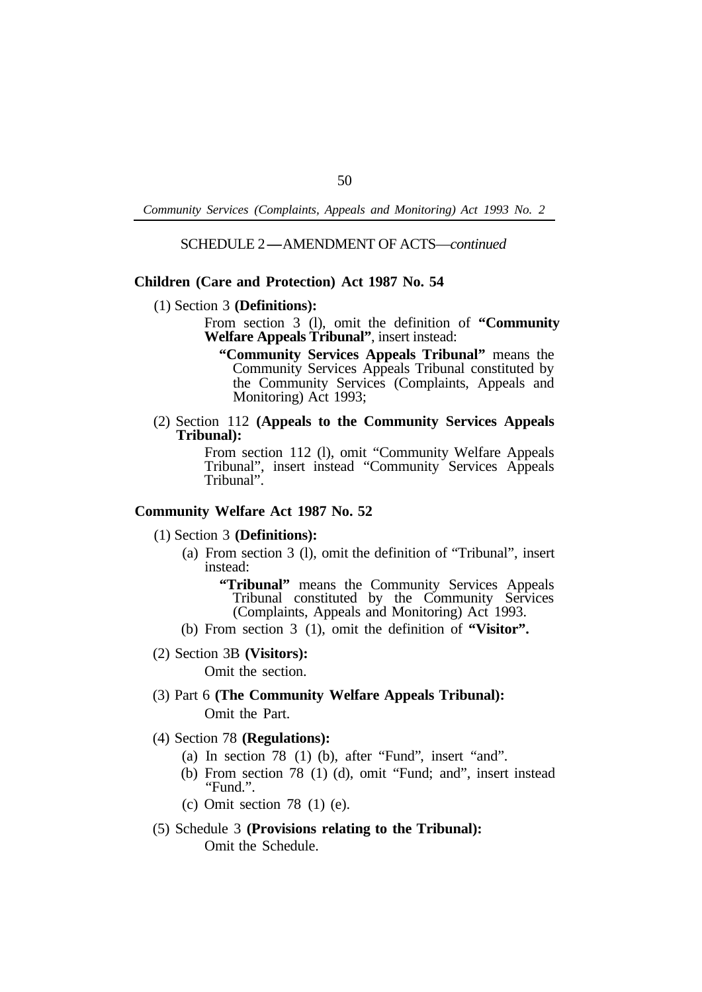# SCHEDULE 2-AMENDMENT OF ACTS—*continued*

## **Children (Care and Protection) Act 1987 No. 54**

- (1) Section 3 **(Definitions):** 
	- From section 3 (l), omit the definition of **"Community Welfare Appeals Tribunal"**, insert instead:
		- **"Community Services Appeals Tribunal"** means the Community Services Appeals Tribunal constituted by the Community Services (Complaints, Appeals and Monitoring) Act 1993;
- (2) Section 112 **(Appeals to the Community Services Appeals Tribunal):**

From section 112 (l), omit "Community Welfare Appeals Tribunal", insert instead "Community Services Appeals Tribunal".

# **Community Welfare Act 1987 No. 52**

### (1) Section 3 **(Definitions):**

(a) From section 3 (l), omit the definition of "Tribunal", insert instead:

**"Tribunal"** means the Community Services Appeals Tribunal constituted by the Community Services (Complaints, Appeals and Monitoring) Act 1993.

(b) From section 3 (1), omit the definition of "Visitor".

## (2) Section 3B **(Visitors):**

Omit the section.

(3) Part 6 **(The Community Welfare Appeals Tribunal):**  Omit the Part.

#### (4) Section 78 **(Regulations):**

- (a) In section 78 (1) (b), after "Fund", insert "and".
- (b) From section 78 (1) (d), omit "Fund; and", insert instead "Fund.".
- (c) Omit section 78 (1) (e).
- (5) Schedule 3 **(Provisions relating to the Tribunal):**  Omit the Schedule.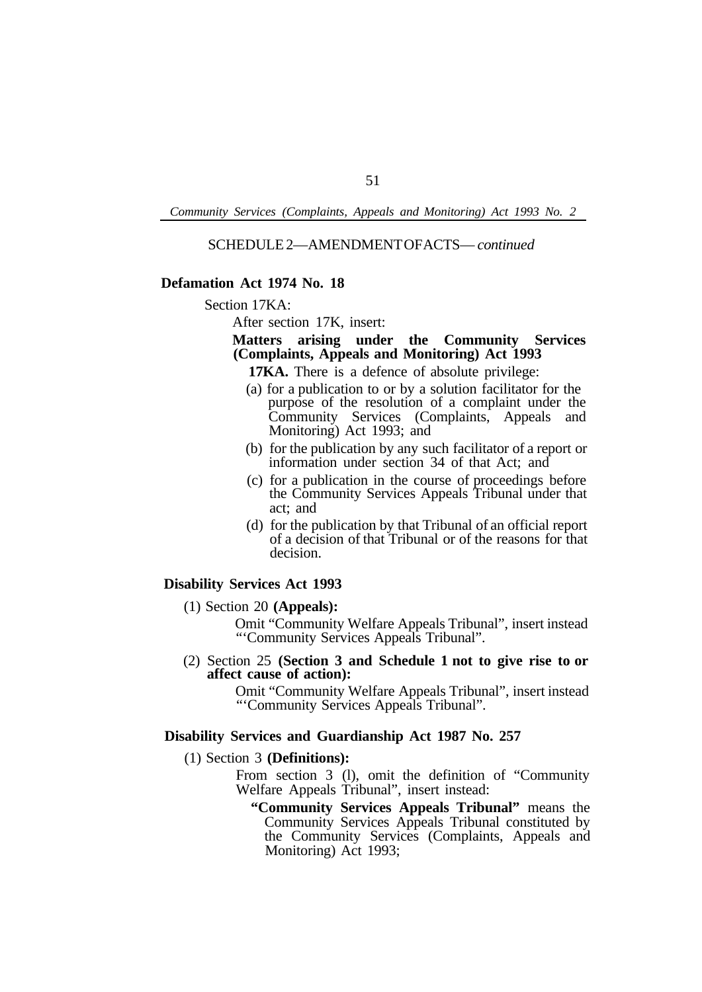SCHEDULE 2—AMENDMENT OF ACTS— *continued* 

# **Defamation Act 1974 No. 18**

#### Section 17KA:

After section 17K, insert:

# **Matters arising under the Community Services (Complaints, Appeals and Monitoring) Act 1993**

**17KA.** There is a defence of absolute privilege:

- (a) for a publication to or by a solution facilitator for the purpose of the resolution of a complaint under the Community Services (Complaints, Appeals and Monitoring) Act 1993; and
- (b) for the publication by any such facilitator of a report or information under section 34 of that Act; and
- (c) for a publication in the course of proceedings before the Community Services Appeals Tribunal under that act; and
- (d) for the publication by that Tribunal of an official report of a decision of that Tribunal or of the reasons for that decision.

## **Disability Services Act 1993**

(1) Section 20 **(Appeals):** 

Omit "Community Welfare Appeals Tribunal", insert instead "'Community Services Appeals Tribunal".

(2) Section 25 **(Section 3 and Schedule 1 not to give rise to or affect cause of action):** 

> Omit "Community Welfare Appeals Tribunal", insert instead "'Community Services Appeals Tribunal".

# **Disability Services and Guardianship Act 1987 No. 257**

(1) Section 3 **(Definitions):** 

From section 3 (l), omit the definition of "Community Welfare Appeals Tribunal", insert instead:

**"Community Services Appeals Tribunal"** means the Community Services Appeals Tribunal constituted by the Community Services (Complaints, Appeals and Monitoring) Act 1993;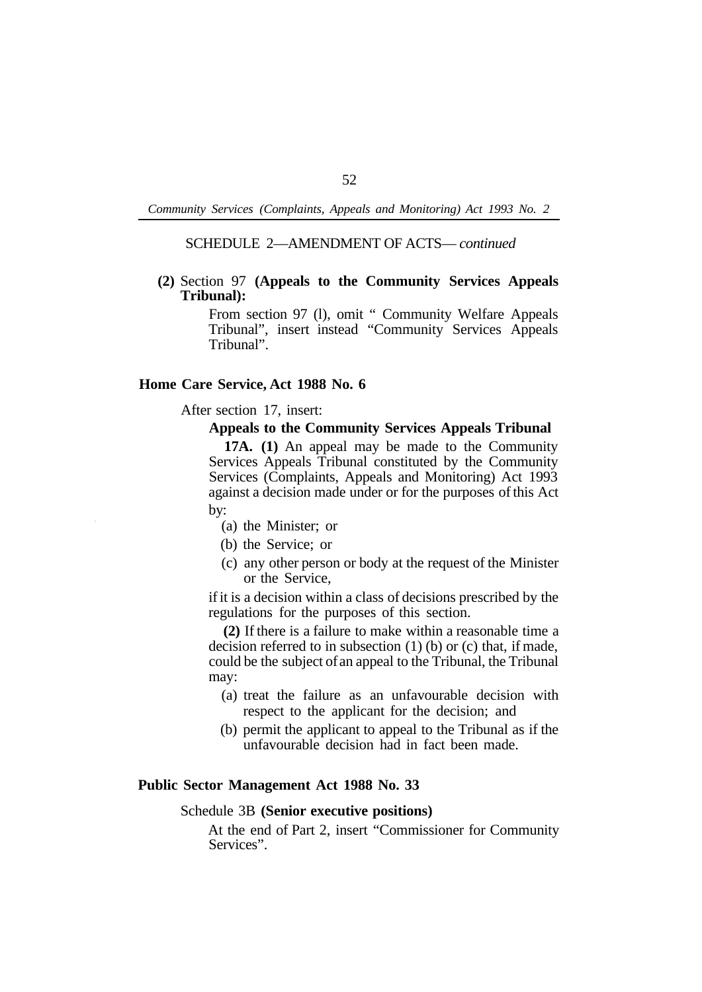# SCHEDULE 2—AMENDMENT OF ACTS— *continued*

# **(2)** Section 97 **(Appeals to the Community Services Appeals Tribunal):**

From section 97 (l), omit " Community Welfare Appeals Tribunal", insert instead "Community Services Appeals Tribunal".

# **Home Care Service, Act 1988 No. 6**

After section 17, insert:

## **Appeals to the Community Services Appeals Tribunal**

**17A. (1)** An appeal may be made to the Community Services Appeals Tribunal constituted by the Community Services (Complaints, Appeals and Monitoring) Act 1993 against a decision made under or for the purposes of this Act by:

- (a) the Minister; or
- (b) the Service; or
- (c) any other person or body at the request of the Minister or the Service,

if it is a decision within a class of decisions prescribed by the regulations for the purposes of this section.

**(2)** If there is a failure to make within a reasonable time a decision referred to in subsection (1) (b) or (c) that, if made, could be the subject of an appeal to the Tribunal, the Tribunal may:

- (a) treat the failure as an unfavourable decision with respect to the applicant for the decision; and
- (b) permit the applicant to appeal to the Tribunal as if the unfavourable decision had in fact been made.

### **Public Sector Management Act 1988 No. 33**

### Schedule 3B **(Senior executive positions)**

At the end of Part 2, insert "Commissioner for Community Services".